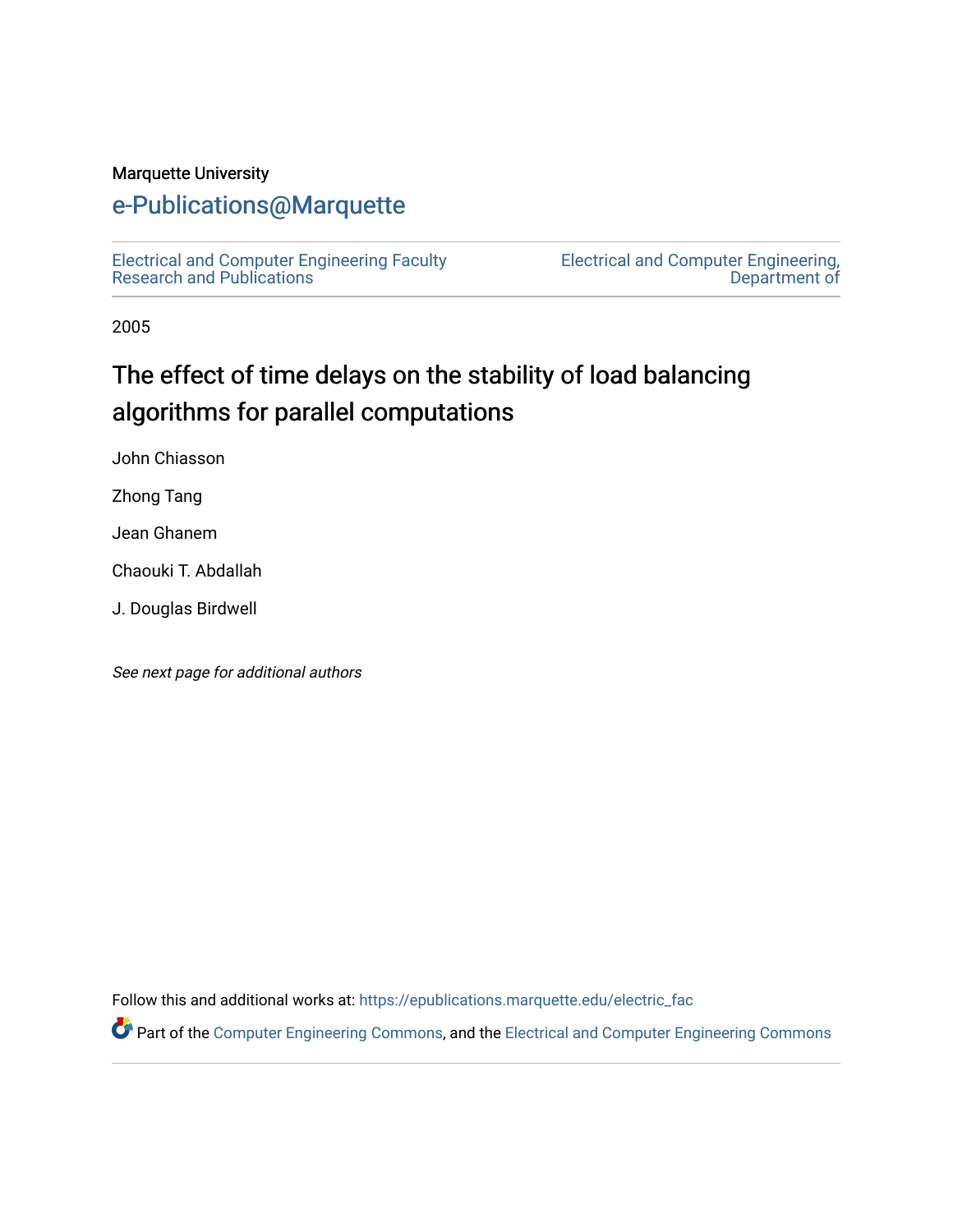#### Marquette University

# [e-Publications@Marquette](https://epublications.marquette.edu/)

[Electrical and Computer Engineering Faculty](https://epublications.marquette.edu/electric_fac) [Research and Publications](https://epublications.marquette.edu/electric_fac) 

[Electrical and Computer Engineering,](https://epublications.marquette.edu/electric)  [Department of](https://epublications.marquette.edu/electric) 

2005

# The effect of time delays on the stability of load balancing algorithms for parallel computations

John Chiasson

Zhong Tang

Jean Ghanem

Chaouki T. Abdallah

J. Douglas Birdwell

See next page for additional authors

Follow this and additional works at: [https://epublications.marquette.edu/electric\\_fac](https://epublications.marquette.edu/electric_fac?utm_source=epublications.marquette.edu%2Felectric_fac%2F538&utm_medium=PDF&utm_campaign=PDFCoverPages) 

Part of the [Computer Engineering Commons,](http://network.bepress.com/hgg/discipline/258?utm_source=epublications.marquette.edu%2Felectric_fac%2F538&utm_medium=PDF&utm_campaign=PDFCoverPages) and the [Electrical and Computer Engineering Commons](http://network.bepress.com/hgg/discipline/266?utm_source=epublications.marquette.edu%2Felectric_fac%2F538&utm_medium=PDF&utm_campaign=PDFCoverPages)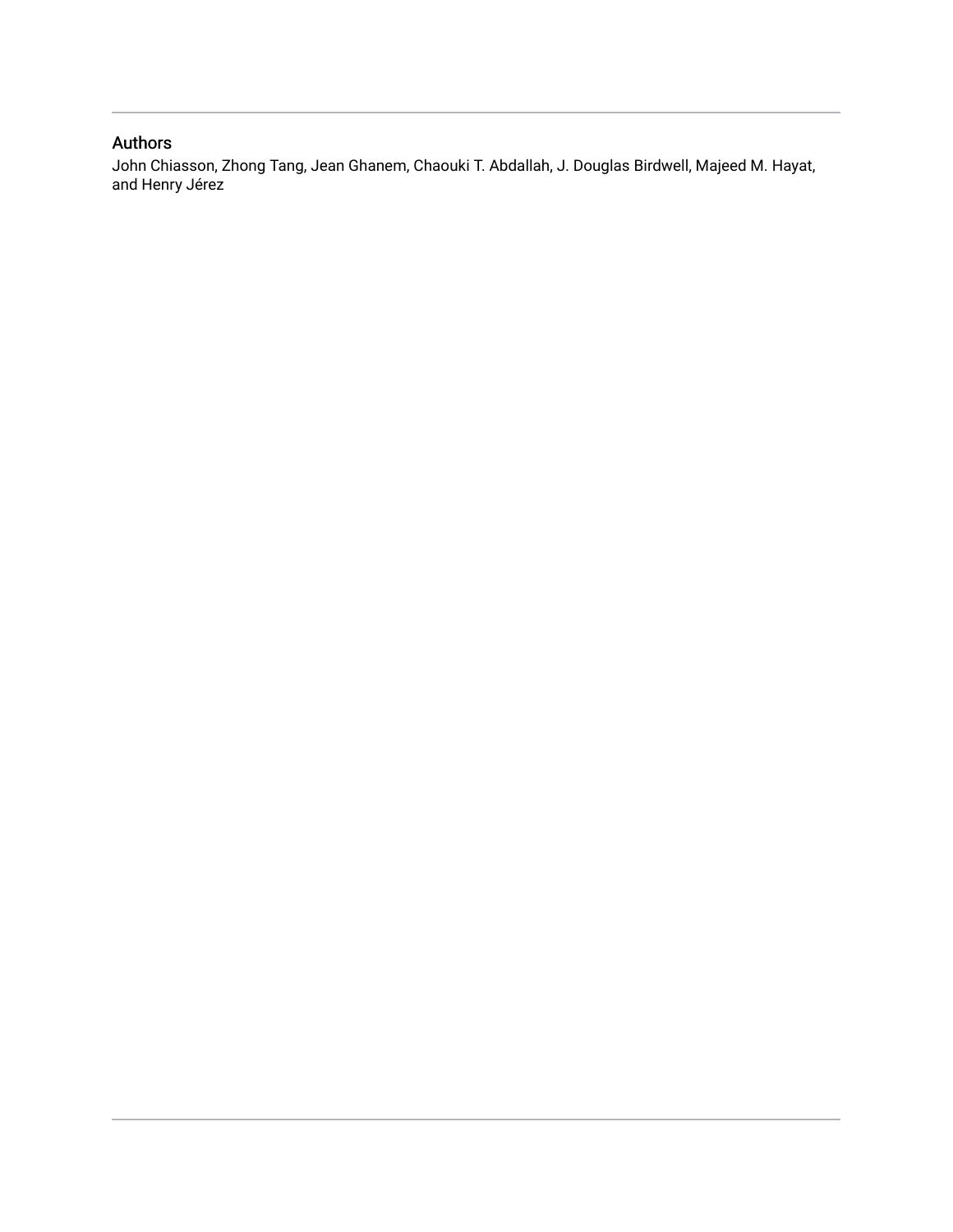#### Authors

John Chiasson, Zhong Tang, Jean Ghanem, Chaouki T. Abdallah, J. Douglas Birdwell, Majeed M. Hayat, and Henry Jérez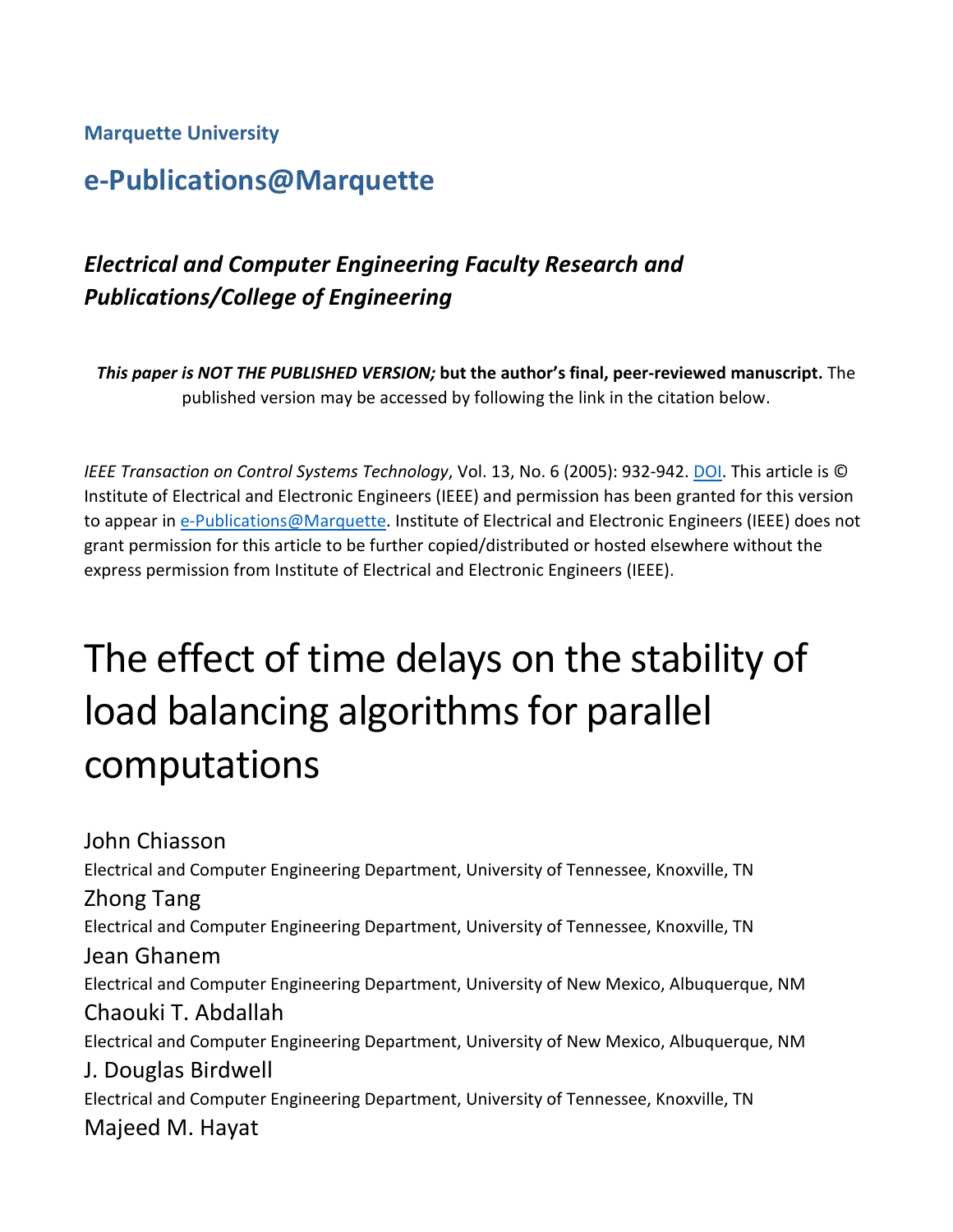**Marquette University**

# **e-Publications@Marquette**

# *Electrical and Computer Engineering Faculty Research and Publications/College of Engineering*

*This paper is NOT THE PUBLISHED VERSION;* **but the author's final, peer-reviewed manuscript.** The published version may be accessed by following the link in the citation below.

*IEEE Transaction on Control Systems Technology*, Vol. 13, No. 6 (2005): 932-942. [DOI.](https://dx.doi.org/10.1109/TCST.2005.854339) This article is © Institute of Electrical and Electronic Engineers (IEEE) and permission has been granted for this version to appear in [e-Publications@Marquette.](http://epublications.marquette.edu/) Institute of Electrical and Electronic Engineers (IEEE) does not grant permission for this article to be further copied/distributed or hosted elsewhere without the express permission from Institute of Electrical and Electronic Engineers (IEEE).

# The effect of time delays on the stability of load balancing algorithms for parallel computations

John Chiasson Electrical and Computer Engineering Department, University of Tennessee, Knoxville, TN Zhong Tang Electrical and Computer Engineering Department, University of Tennessee, Knoxville, TN Jean Ghanem Electrical and Computer Engineering Department, University of New Mexico, Albuquerque, NM Chaouki T. Abdallah Electrical and Computer Engineering Department, University of New Mexico, Albuquerque, NM J. Douglas Birdwell Electrical and Computer Engineering Department, University of Tennessee, Knoxville, TN Majeed M. Hayat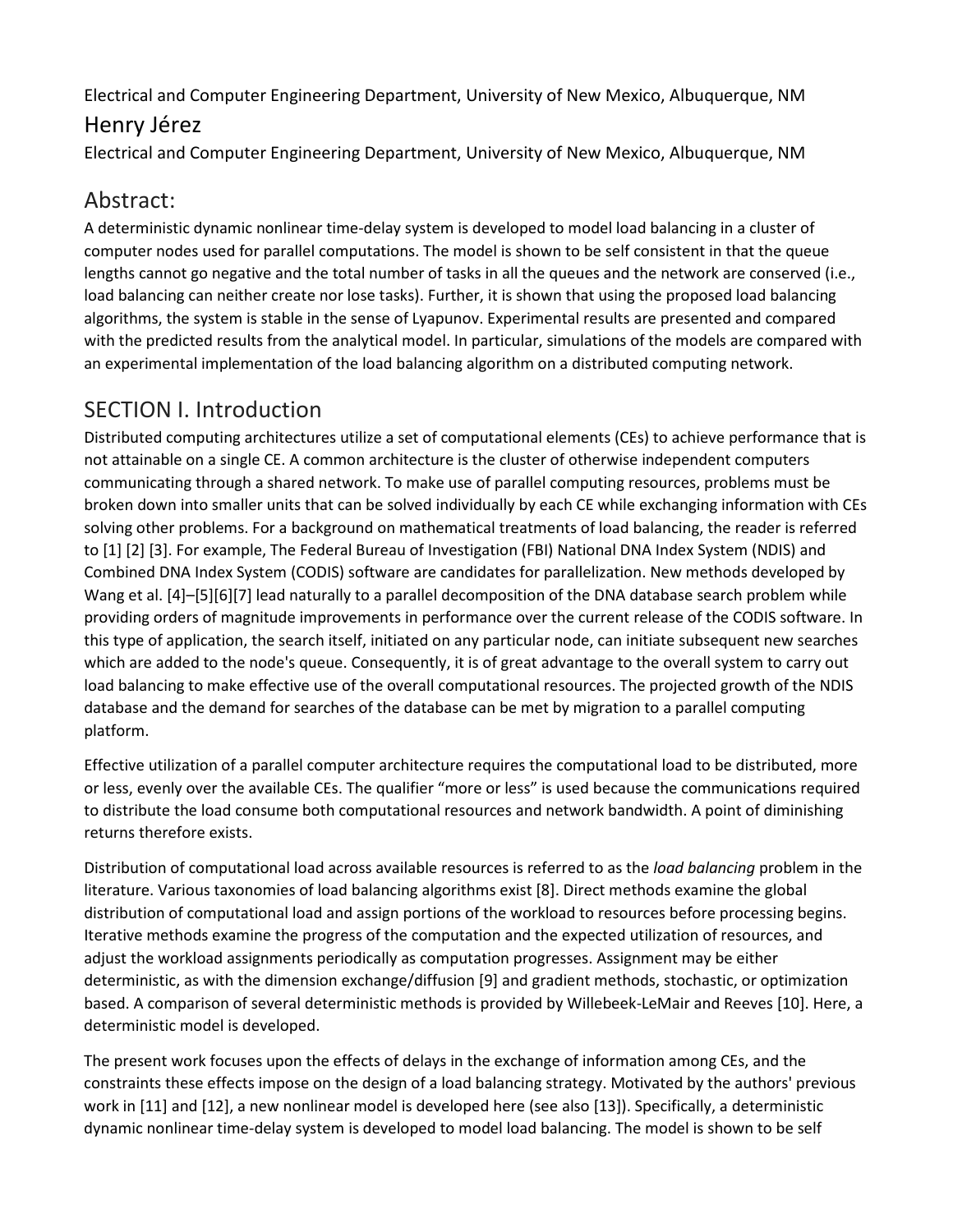## Electrical and Computer Engineering Department, University of New Mexico, Albuquerque, NM Henry Jérez

Electrical and Computer Engineering Department, University of New Mexico, Albuquerque, NM

# Abstract:

A deterministic dynamic nonlinear time-delay system is developed to model load balancing in a cluster of computer nodes used for parallel computations. The model is shown to be self consistent in that the queue lengths cannot go negative and the total number of tasks in all the queues and the network are conserved (i.e., load balancing can neither create nor lose tasks). Further, it is shown that using the proposed load balancing algorithms, the system is stable in the sense of Lyapunov. Experimental results are presented and compared with the predicted results from the analytical model. In particular, simulations of the models are compared with an experimental implementation of the load balancing algorithm on a distributed computing network.

# SECTION I. Introduction

Distributed computing architectures utilize a set of computational elements (CEs) to achieve performance that is not attainable on a single CE. A common architecture is the cluster of otherwise independent computers communicating through a shared network. To make use of parallel computing resources, problems must be broken down into smaller units that can be solved individually by each CE while exchanging information with CEs solving other problems. For a background on mathematical treatments of load balancing, the reader is referred to [1] [2] [3]. For example, The Federal Bureau of Investigation (FBI) National DNA Index System (NDIS) and Combined DNA Index System (CODIS) software are candidates for parallelization. New methods developed by Wang et al. [4]–[5][6][7] lead naturally to a parallel decomposition of the DNA database search problem while providing orders of magnitude improvements in performance over the current release of the CODIS software. In this type of application, the search itself, initiated on any particular node, can initiate subsequent new searches which are added to the node's queue. Consequently, it is of great advantage to the overall system to carry out load balancing to make effective use of the overall computational resources. The projected growth of the NDIS database and the demand for searches of the database can be met by migration to a parallel computing platform.

Effective utilization of a parallel computer architecture requires the computational load to be distributed, more or less, evenly over the available CEs. The qualifier "more or less" is used because the communications required to distribute the load consume both computational resources and network bandwidth. A point of diminishing returns therefore exists.

Distribution of computational load across available resources is referred to as the *load balancing* problem in the literature. Various taxonomies of load balancing algorithms exist [8]. Direct methods examine the global distribution of computational load and assign portions of the workload to resources before processing begins. Iterative methods examine the progress of the computation and the expected utilization of resources, and adjust the workload assignments periodically as computation progresses. Assignment may be either deterministic, as with the dimension exchange/diffusion [9] and gradient methods, stochastic, or optimization based. A comparison of several deterministic methods is provided by Willebeek-LeMair and Reeves [10]. Here, a deterministic model is developed.

The present work focuses upon the effects of delays in the exchange of information among CEs, and the constraints these effects impose on the design of a load balancing strategy. Motivated by the authors' previous work in [11] and [12], a new nonlinear model is developed here (see also [13]). Specifically, a deterministic dynamic nonlinear time-delay system is developed to model load balancing. The model is shown to be self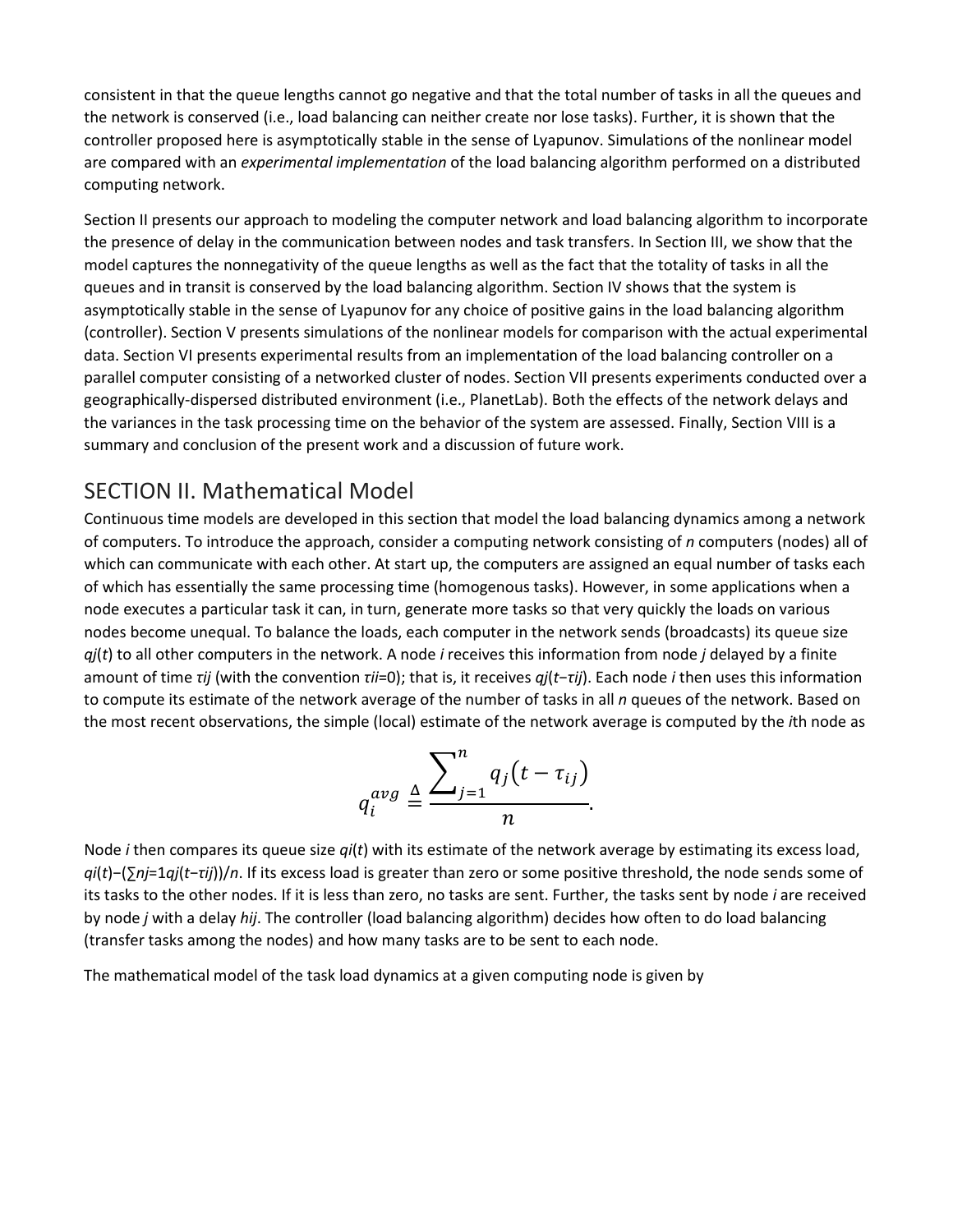consistent in that the queue lengths cannot go negative and that the total number of tasks in all the queues and the network is conserved (i.e., load balancing can neither create nor lose tasks). Further, it is shown that the controller proposed here is asymptotically stable in the sense of Lyapunov. Simulations of the nonlinear model are compared with an *experimental implementation* of the load balancing algorithm performed on a distributed computing network.

Section II presents our approach to modeling the computer network and load balancing algorithm to incorporate the presence of delay in the communication between nodes and task transfers. In Section III, we show that the model captures the nonnegativity of the queue lengths as well as the fact that the totality of tasks in all the queues and in transit is conserved by the load balancing algorithm. Section IV shows that the system is asymptotically stable in the sense of Lyapunov for any choice of positive gains in the load balancing algorithm (controller). Section V presents simulations of the nonlinear models for comparison with the actual experimental data. Section VI presents experimental results from an implementation of the load balancing controller on a parallel computer consisting of a networked cluster of nodes. Section VII presents experiments conducted over a geographically-dispersed distributed environment (i.e., PlanetLab). Both the effects of the network delays and the variances in the task processing time on the behavior of the system are assessed. Finally, Section VIII is a summary and conclusion of the present work and a discussion of future work.

## SECTION II. Mathematical Model

Continuous time models are developed in this section that model the load balancing dynamics among a network of computers. To introduce the approach, consider a computing network consisting of *n* computers (nodes) all of which can communicate with each other. At start up, the computers are assigned an equal number of tasks each of which has essentially the same processing time (homogenous tasks). However, in some applications when a node executes a particular task it can, in turn, generate more tasks so that very quickly the loads on various nodes become unequal. To balance the loads, each computer in the network sends (broadcasts) its queue size *qj*(*t*) to all other computers in the network. A node *i* receives this information from node *j* delayed by a finite amount of time *τij* (with the convention *τii*=0); that is, it receives *qj*(*t*−*τij*). Each node *i* then uses this information to compute its estimate of the network average of the number of tasks in all *n* queues of the network. Based on the most recent observations, the simple (local) estimate of the network average is computed by the *i*th node as

$$
q_i^{avg} \triangleq \frac{\sum_{j=1}^n q_j(t-\tau_{ij})}{n}.
$$

Node *i* then compares its queue size *qi*(*t*) with its estimate of the network average by estimating its excess load, *qi*(*t*)−(∑*nj*=1*qj*(*t*−*τij*))/*n*. If its excess load is greater than zero or some positive threshold, the node sends some of its tasks to the other nodes. If it is less than zero, no tasks are sent. Further, the tasks sent by node *i* are received by node *j* with a delay *hij*. The controller (load balancing algorithm) decides how often to do load balancing (transfer tasks among the nodes) and how many tasks are to be sent to each node.

The mathematical model of the task load dynamics at a given computing node is given by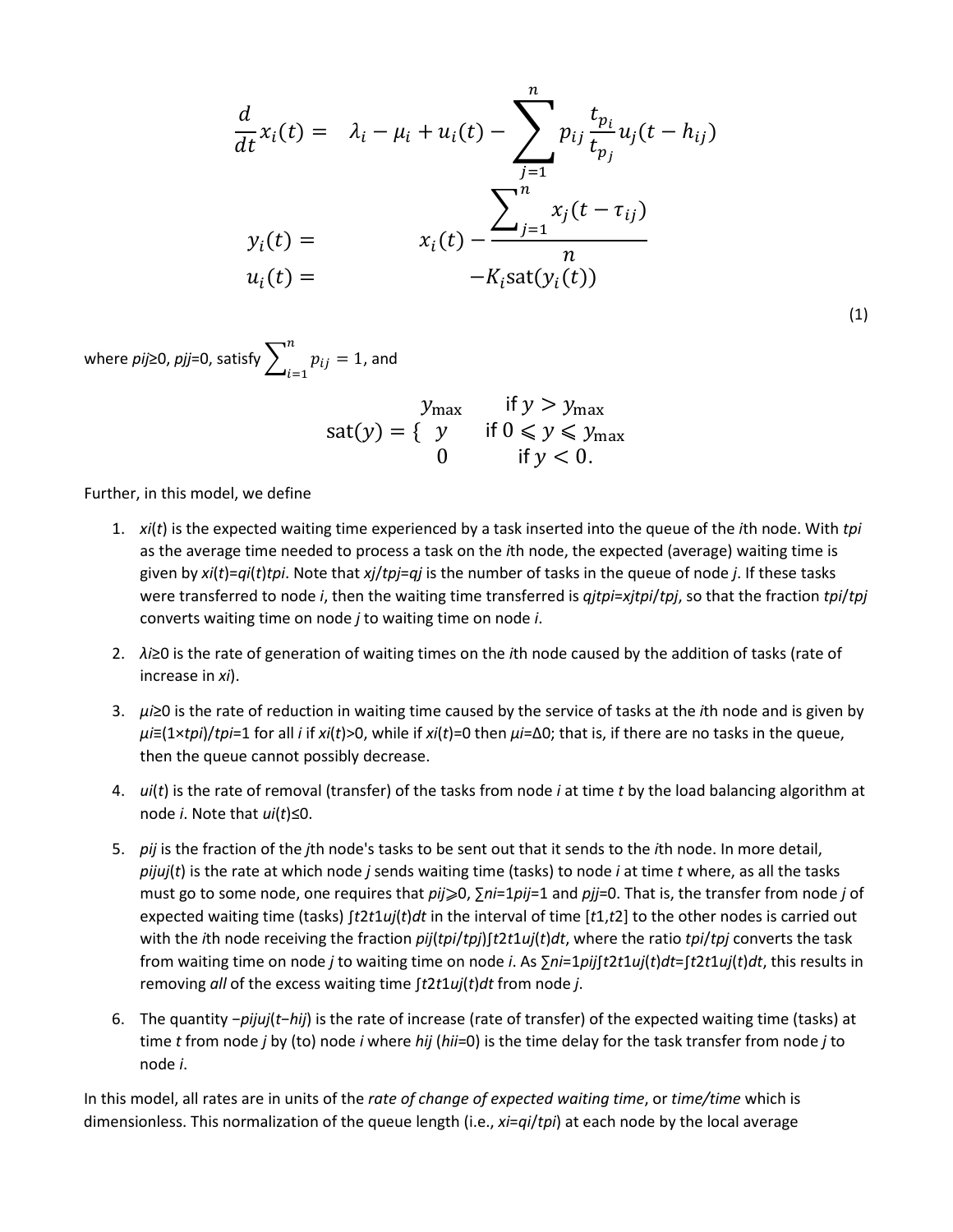$$
\frac{d}{dt}x_i(t) = \lambda_i - \mu_i + u_i(t) - \sum_{j=1}^n p_{ij} \frac{t_{p_i}}{t_{p_j}} u_j(t - h_{ij})
$$
\n
$$
y_i(t) = \qquad \qquad x_i(t) - \frac{\sum_{j=1}^n x_j(t - \tau_{ij})}{n}
$$
\n
$$
u_i(t) = -K_i \text{sat}(y_i(t))
$$

(1)

where *pij*≥0, *pjj*=0, satisfy  $\sum_{i=1}^{n} p_i$  $p_{ij} = 1$ , and

$$
y_{\max} \quad \text{if } y > y_{\max}
$$
  
sat(y) = { y if  $0 \le y \le y_{\max}$   
0 if y < 0.

Further, in this model, we define

- 1. *xi*(*t*) is the expected waiting time experienced by a task inserted into the queue of the *i*th node. With *tpi* as the average time needed to process a task on the *i*th node, the expected (average) waiting time is given by *xi*(*t*)=*qi*(*t*)*tpi*. Note that *xj*/*tpj*=*qj* is the number of tasks in the queue of node *j*. If these tasks were transferred to node *i*, then the waiting time transferred is *qjtpi*=*xjtpi*/*tpj*, so that the fraction *tpi*/*tpj* converts waiting time on node *j* to waiting time on node *i*.
- 2. *λi*≥0 is the rate of generation of waiting times on the *i*th node caused by the addition of tasks (rate of increase in *xi*).
- 3. *μi*≥0 is the rate of reduction in waiting time caused by the service of tasks at the *i*th node and is given by *μi*≡(1×*tpi*)/*tpi*=1 for all *i* if *xi*(*t*)>0, while if *xi*(*t*)=0 then *μi*=Δ0; that is, if there are no tasks in the queue, then the queue cannot possibly decrease.
- 4. *ui*(*t*) is the rate of removal (transfer) of the tasks from node *i* at time *t* by the load balancing algorithm at node *i*. Note that *ui*(*t*)≤0.
- 5. *pij* is the fraction of the *j*th node's tasks to be sent out that it sends to the *i*th node. In more detail, *pijuj*(*t*) is the rate at which node *j* sends waiting time (tasks) to node *i* at time *t* where, as all the tasks must go to some node, one requires that *pij*⩾0, ∑*ni*=1*pij*=1 and *pjj*=0. That is, the transfer from node *j* of expected waiting time (tasks) ∫*t*2*t*1*uj*(*t*)*dt* in the interval of time [*t*1,*t*2] to the other nodes is carried out with the *i*th node receiving the fraction *pij*(*tpi*/*tpj*)∫*t*2*t*1*uj*(*t*)*dt*, where the ratio *tpi*/*tpj* converts the task from waiting time on node *j* to waiting time on node *i*. As ∑*ni*=1*pij*∫*t*2*t*1*uj*(*t*)*dt*=∫*t*2*t*1*uj*(*t*)*dt*, this results in removing *all* of the excess waiting time ∫*t*2*t*1*uj*(*t*)*dt* from node *j*.
- 6. The quantity −*pijuj*(*t*−*hij*) is the rate of increase (rate of transfer) of the expected waiting time (tasks) at time *t* from node *j* by (to) node *i* where *hij* (*hii*=0) is the time delay for the task transfer from node *j* to node *i*.

In this model, all rates are in units of the *rate of change of expected waiting time*, or *time/time* which is dimensionless. This normalization of the queue length (i.e., *xi*=*qi*/*tpi*) at each node by the local average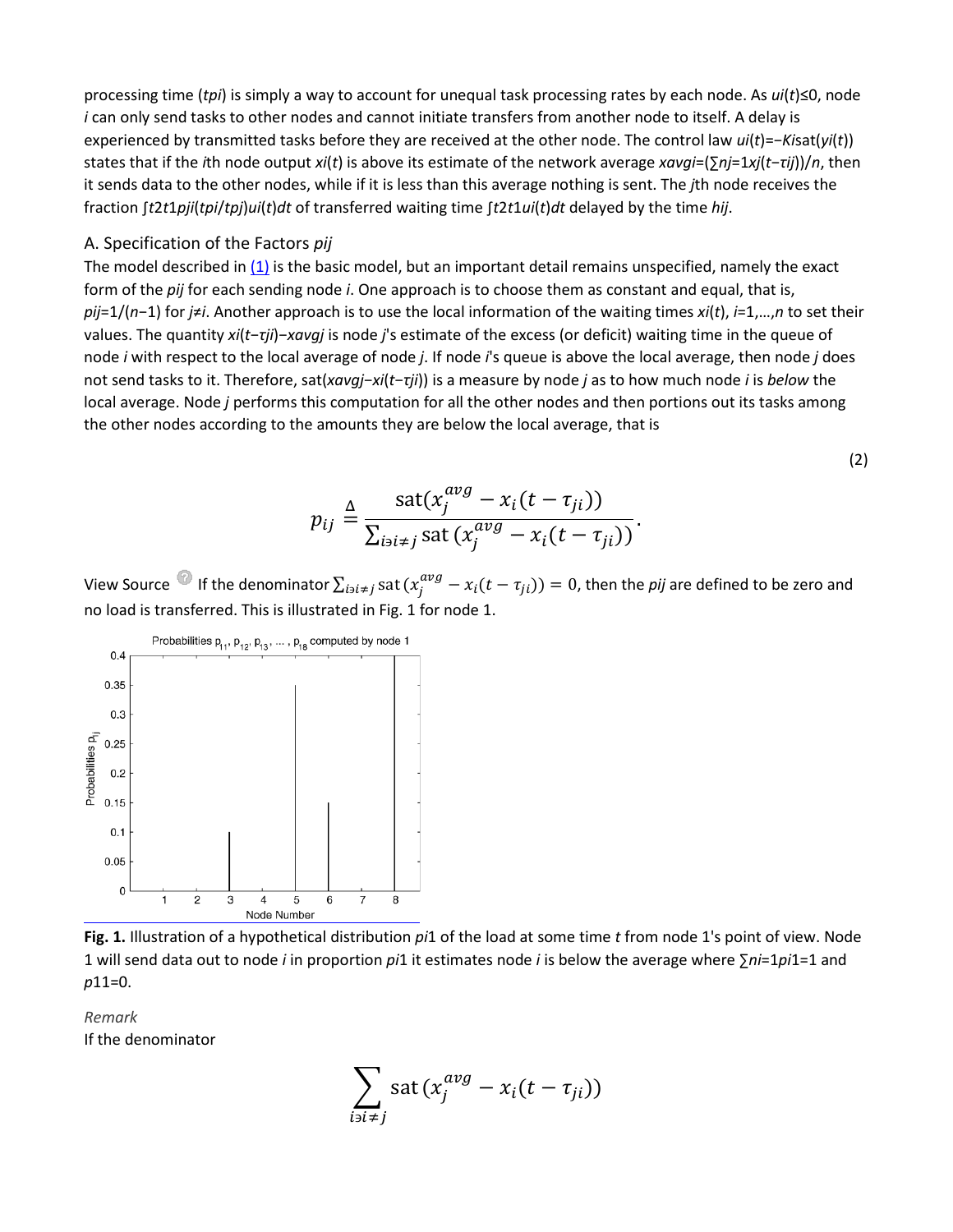processing time (*tpi*) is simply a way to account for unequal task processing rates by each node. As *ui*(*t*)≤0, node *i* can only send tasks to other nodes and cannot initiate transfers from another node to itself. A delay is experienced by transmitted tasks before they are received at the other node. The control law *ui*(*t*)=−*Ki*sat(*yi*(*t*)) states that if the *i*th node output *xi*(*t*) is above its estimate of the network average *xavgi*=(∑*nj*=1*xj*(*t*−*τij*))/*n*, then it sends data to the other nodes, while if it is less than this average nothing is sent. The *j*th node receives the fraction ∫*t*2*t*1*pji*(*tpi*/*tpj*)*ui*(*t*)*dt* of transferred waiting time ∫*t*2*t*1*ui*(*t*)*dt* delayed by the time *hij*.

#### A. Specification of the Factors *pij*

The model described in [\(1\)](https://ieeexplore.ieee.org/document/#deqn1) is the basic model, but an important detail remains unspecified, namely the exact form of the *pij* for each sending node *i*. One approach is to choose them as constant and equal, that is, *pij*=1/(*n*−1) for *j*≠*i*. Another approach is to use the local information of the waiting times *xi*(*t*), *i*=1,…,*n* to set their values. The quantity *xi*(*t*−*τji*)−*xavgj* is node *j*'s estimate of the excess (or deficit) waiting time in the queue of node *i* with respect to the local average of node *j*. If node *i*'s queue is above the local average, then node *j* does not send tasks to it. Therefore, sat(*xavgj*−*xi*(*t*−*τji*)) is a measure by node *j* as to how much node *i* is *below* the local average. Node *j* performs this computation for all the other nodes and then portions out its tasks among the other nodes according to the amounts they are below the local average, that is

$$
p_{ij} \stackrel{\Delta}{=} \frac{\text{sat}(x_j^{avg} - x_i(t - \tau_{ji}))}{\sum_{i \neq j} \text{sat}(x_j^{avg} - x_i(t - \tau_{ji}))}.
$$

(2)

View Source  $\blacksquare$  If the denominator  $\sum_{i\ni i\neq j}$  sat  $(x_j^{avg}-x_i(t-\tau_{ji}))=0$ , then the *pij* are defined to be zero and no load is transferred. This is illustrated in Fig. 1 for node 1.



**Fig. 1.** Illustration of a hypothetical distribution *pi*1 of the load at some time *t* from node 1's point of view. Node 1 will send data out to node *i* in proportion *pi*1 it estimates node *i* is below the average where ∑*ni*=1*pi*1=1 and *p*11=0.

*Remark* If the denominator

$$
\sum_{i \ni i \neq j} \operatorname{sat} \left( x_j^{avg} - x_i(t - \tau_{ji}) \right)
$$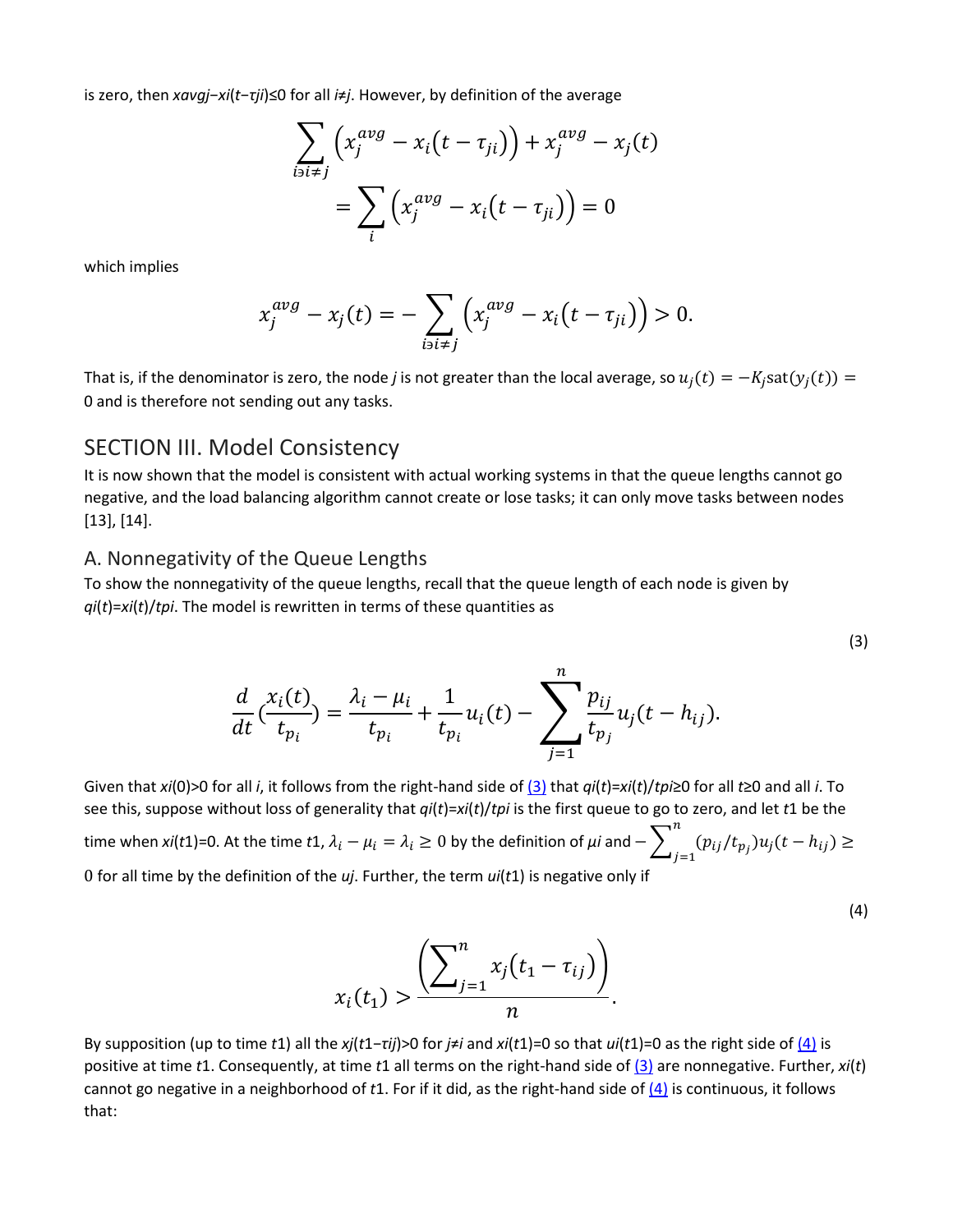is zero, then *xavgj*−*xi*(*t*−*τji*)≤0 for all *i*≠*j*. However, by definition of the average

$$
\sum_{i \ni i \neq j} \left( x_j^{avg} - x_i \left( t - \tau_{ji} \right) \right) + x_j^{avg} - x_j \left( t \right)
$$
\n
$$
= \sum_i \left( x_j^{avg} - x_i \left( t - \tau_{ji} \right) \right) = 0
$$

which implies

$$
x_j^{avg} - x_j(t) = -\sum_{i \neq i \neq j} \left( x_j^{avg} - x_i(t - \tau_{ji}) \right) > 0.
$$

That is, if the denominator is zero, the node *j* is not greater than the local average, so  $u_i(t) = -K_i \text{sat}(y_i(t)) =$ 0 and is therefore not sending out any tasks.

## SECTION III. Model Consistency

It is now shown that the model is consistent with actual working systems in that the queue lengths cannot go negative, and the load balancing algorithm cannot create or lose tasks; it can only move tasks between nodes [13], [14].

#### A. Nonnegativity of the Queue Lengths

To show the nonnegativity of the queue lengths, recall that the queue length of each node is given by *qi*(*t*)=*xi*(*t*)/*tpi*. The model is rewritten in terms of these quantities as

$$
(3)
$$

$$
\frac{d}{dt}(\frac{x_i(t)}{t_{p_i}}) = \frac{\lambda_i - \mu_i}{t_{p_i}} + \frac{1}{t_{p_i}}u_i(t) - \sum_{j=1}^n \frac{p_{ij}}{t_{p_j}}u_j(t - h_{ij}).
$$

Given that *xi*(0)>0 for all *i*, it follows from the right-hand side of [\(3\)](https://ieeexplore.ieee.org/document/#deqn3) that *qi*(*t*)=*xi*(*t*)/*tpi*≥0 for all *t*≥0 and all *i*. To see this, suppose without loss of generality that *qi*(*t*)=*xi*(*t*)/*tpi* is the first queue to go to zero, and let *t*1 be the time when *xi*(*t*1)=0. At the time *t*1,  $\lambda_i - \mu_i = \lambda_i \geq 0$  by the definition of  $\mu$ i and  $-\sum_{i=1}^n (p_{ij}/t_{p_j})u_j(t-h_i)$  $(p_{ij}/t_{p_j})u_j(t-h_{ij}) \geq$ 0 for all time by the definition of the *uj*. Further, the term *ui*(*t*1) is negative only if

$$
\left( 4\right)
$$

$$
x_i(t_1) > \frac{\left(\sum_{j=1}^n x_j(t_1 - \tau_{ij})\right)}{n}.
$$

By supposition (up to time *t*1) all the *xj*(*t*1−*τij*)>0 for *j*≠*i* and *xi*(*t*1)=0 so that *ui*(*t*1)=0 as the right side o[f \(4\)](https://ieeexplore.ieee.org/document/#deqn4) is positive at time *t*1. Consequently, at time *t*1 all terms on the right-hand side o[f \(3\)](https://ieeexplore.ieee.org/document/#deqn3) are nonnegative. Further, *xi*(*t*) cannot go negative in a neighborhood of *t*1. For if it did, as the right-hand side of [\(4\)](https://ieeexplore.ieee.org/document/#deqn4) is continuous, it follows that: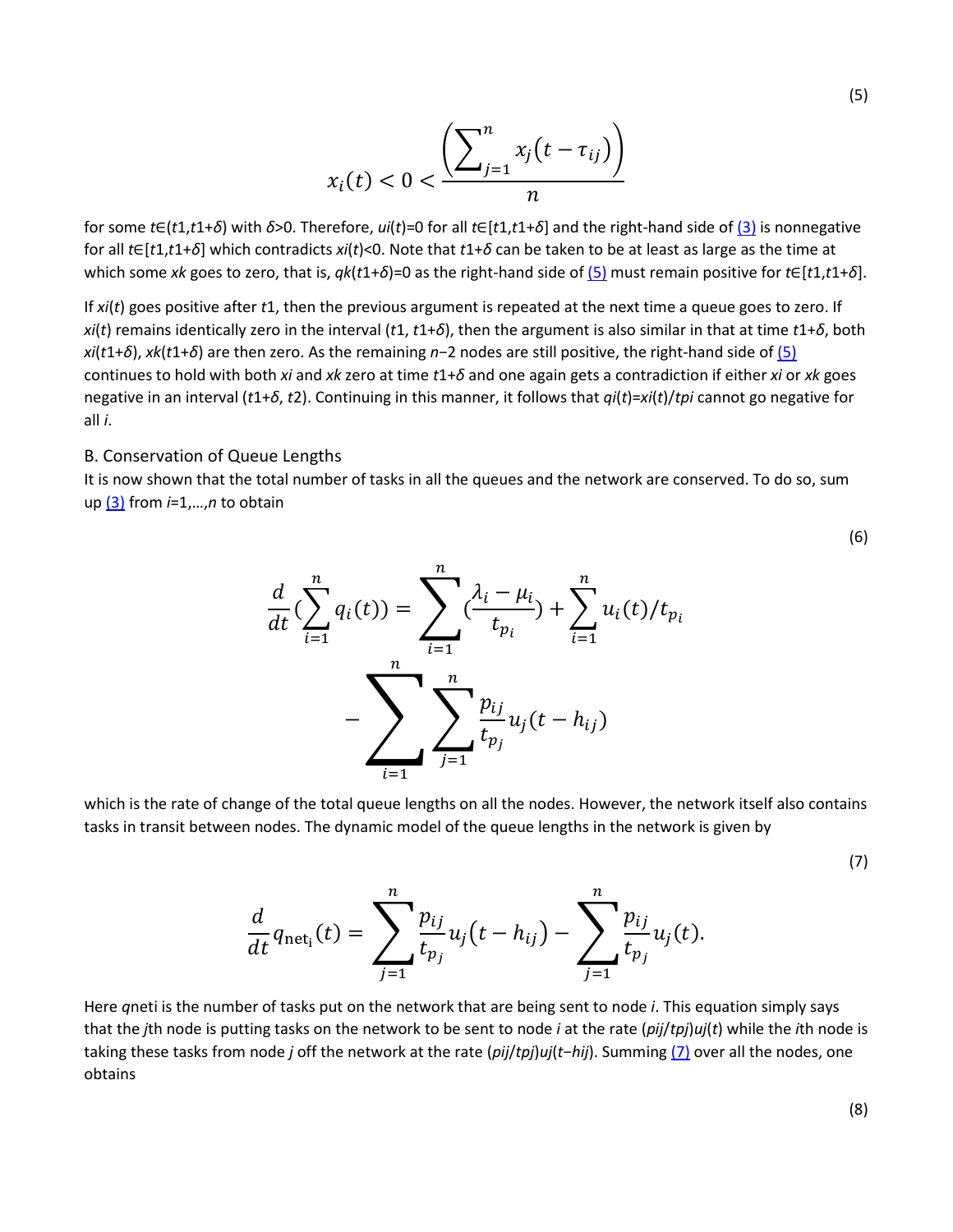$$
x_i(t) < 0 < \frac{\left(\sum_{j=1}^n x_j(t - \tau_{ij})\right)}{n}
$$

for some *t*∈(*t*1,*t*1+*δ*) with *δ*>0. Therefore, *ui*(*t*)=0 for all *t*∈[*t*1,*t*1+*δ*] and the right-hand side o[f \(3\)](https://ieeexplore.ieee.org/document/#deqn3) is nonnegative for all *t*∈[*t*1,*t*1+*δ*] which contradicts *xi*(*t*)<0. Note that *t*1+*δ* can be taken to be at least as large as the time at which some *xk* goes to zero, that is, *qk*(*t*1+*δ*)=0 as the right-hand side o[f \(5\)](https://ieeexplore.ieee.org/document/#deqn5) must remain positive for *t*∈[*t*1,*t*1+*δ*].

If *xi*(*t*) goes positive after *t*1, then the previous argument is repeated at the next time a queue goes to zero. If *xi*(*t*) remains identically zero in the interval (*t*1, *t*1+*δ*), then the argument is also similar in that at time *t*1+*δ*, both *xi*(*t*1+*δ*), *xk*(*t*1+*δ*) are then zero. As the remaining *n*−2 nodes are still positive, the right-hand side o[f \(5\)](https://ieeexplore.ieee.org/document/#deqn5) continues to hold with both *xi* and *xk* zero at time *t*1+*δ* and one again gets a contradiction if either *xi* or *xk* goes negative in an interval (*t*1+*δ*, *t*2). Continuing in this manner, it follows that *qi*(*t*)=*xi*(*t*)/*tpi* cannot go negative for all *i*.

#### B. Conservation of Queue Lengths

It is now shown that the total number of tasks in all the queues and the network are conserved. To do so, sum up [\(3\)](https://ieeexplore.ieee.org/document/#deqn3) from *i*=1,…,*n* to obtain

$$
\frac{d}{dt}(\sum_{i=1}^{n} q_i(t)) = \sum_{i=1}^{n} (\frac{\lambda_i - \mu_i}{t_{p_i}}) + \sum_{i=1}^{n} u_i(t) / t_{p_i} - \sum_{i=1}^{n} \sum_{j=1}^{n} \frac{p_{ij}}{t_{p_j}} u_j(t - h_{ij})
$$

which is the rate of change of the total queue lengths on all the nodes. However, the network itself also contains tasks in transit between nodes. The dynamic model of the queue lengths in the network is given by

(7)

(6)

$$
\frac{d}{dt}q_{\text{net}_i}(t) = \sum_{j=1}^n \frac{p_{ij}}{t_{p_j}} u_j(t-h_{ij}) - \sum_{j=1}^n \frac{p_{ij}}{t_{p_j}} u_j(t).
$$

Here *q*neti is the number of tasks put on the network that are being sent to node *i*. This equation simply says that the *j*th node is putting tasks on the network to be sent to node *i* at the rate (*pij*/*tpj*)*uj*(*t*) while the *i*th node is taking these tasks from node *j* off the network at the rate (*pij*/*tpj*)*uj*(*t*−*hij*). Summing [\(7\)](https://ieeexplore.ieee.org/document/#deqn7) over all the nodes, one obtains

(5)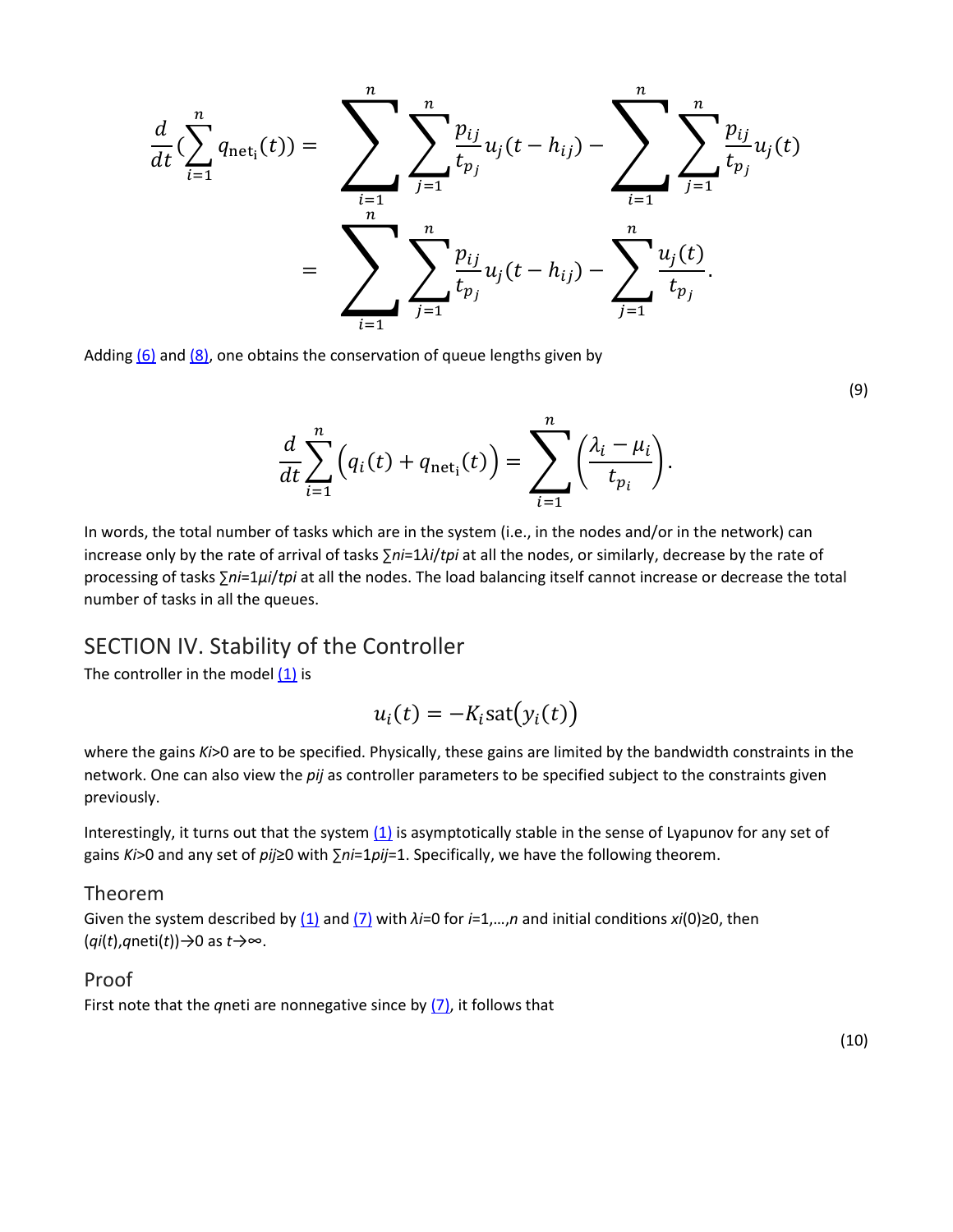$$
\frac{d}{dt}(\sum_{i=1}^{n} q_{\text{net}_{i}}(t)) = \sum_{\substack{i=1 \ i=1}}^{n} \sum_{j=1}^{n} \frac{p_{ij}}{t_{p_{j}}} u_{j}(t-h_{ij}) - \sum_{\substack{i=1 \ i=1}}^{n} \sum_{j=1}^{n} \frac{p_{ij}}{t_{p_{j}}} u_{j}(t)
$$
\n
$$
= \sum_{i=1}^{n} \sum_{j=1}^{n} \frac{p_{ij}}{t_{p_{j}}} u_{j}(t-h_{ij}) - \sum_{j=1}^{n} \frac{u_{j}(t)}{t_{p_{j}}}.
$$

Adding  $(6)$  and  $(8)$ , one obtains the conservation of queue lengths given by

$$
\frac{d}{dt} \sum_{i=1}^{n} \left( q_i(t) + q_{\text{net}_i}(t) \right) = \sum_{i=1}^{n} \left( \frac{\lambda_i - \mu_i}{t_{p_i}} \right).
$$

In words, the total number of tasks which are in the system (i.e., in the nodes and/or in the network) can increase only by the rate of arrival of tasks ∑*ni*=1*λi*/*tpi* at all the nodes, or similarly, decrease by the rate of processing of tasks ∑*ni*=1*μi*/*tpi* at all the nodes. The load balancing itself cannot increase or decrease the total number of tasks in all the queues.

## SECTION IV. Stability of the Controller

The controller in the model  $(1)$  is

$$
u_i(t) = -K_i \text{sat}(y_i(t))
$$

where the gains *Ki*>0 are to be specified. Physically, these gains are limited by the bandwidth constraints in the network. One can also view the *pij* as controller parameters to be specified subject to the constraints given previously.

Interestingly, it turns out that the system  $(1)$  is asymptotically stable in the sense of Lyapunov for any set of gains *Ki*>0 and any set of *pij*≥0 with ∑*ni*=1*pij*=1. Specifically, we have the following theorem.

#### Theorem

Given the system described by [\(1\)](https://ieeexplore.ieee.org/document/#deqn1) and [\(7\)](https://ieeexplore.ieee.org/document/#deqn7) with *λi*=0 for *i*=1,…,*n* and initial conditions *xi*(0)≥0, then (*qi*(*t*),*q*neti(*t*))→0 as *t*→∞.

#### Proof First note that the *q*neti are nonnegative since by [\(7\),](https://ieeexplore.ieee.org/document/#deqn7) it follows that

(10)

(9)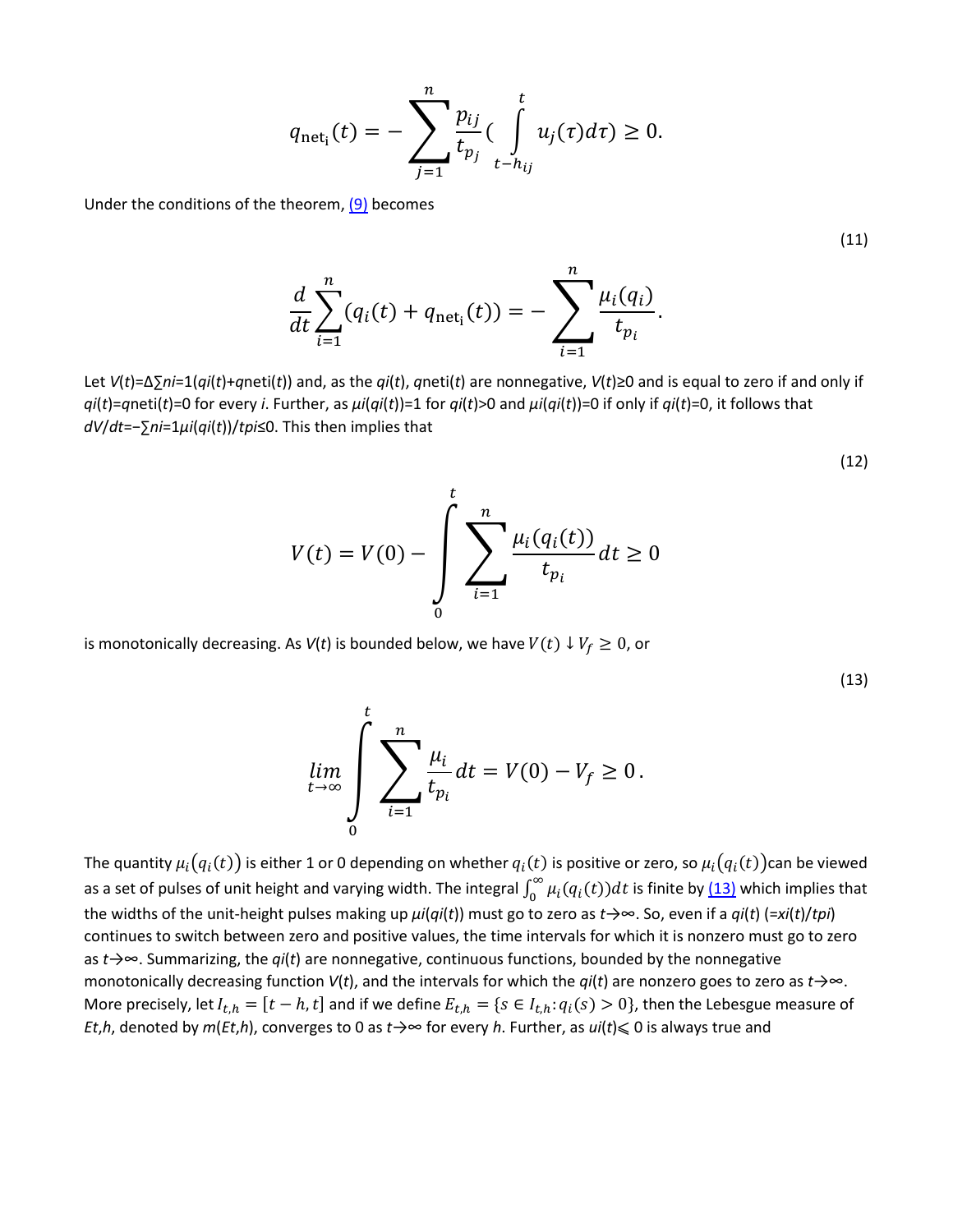$$
q_{\text{net}_i}(t) = -\sum_{j=1}^n \frac{p_{ij}}{t_{p_j}} \left( \int_{t-h_{ij}}^t u_j(\tau) d\tau \right) \geq 0.
$$

Under the conditions of the theorem,  $(9)$  becomes

$$
\frac{d}{dt} \sum_{i=1}^{n} (q_i(t) + q_{\text{net}_i}(t)) = -\sum_{i=1}^{n} \frac{\mu_i(q_i)}{t_{p_i}}
$$

.

Let *V*(*t*)=Δ∑*ni*=1(*qi*(*t*)+*q*neti(*t*)) and, as the *qi*(*t*), *q*neti(*t*) are nonnegative, *V*(*t*)≥0 and is equal to zero if and only if *qi*(*t*)=*q*neti(*t*)=0 for every *i*. Further, as *μi*(*qi*(*t*))=1 for *qi*(*t*)>0 and *μi*(*qi*(*t*))=0 if only if *qi*(*t*)=0, it follows that *dV*/*dt*=−∑*ni*=1*μi*(*qi*(*t*))/*tpi*≤0. This then implies that

$$
(12)
$$

(11)

$$
V(t) = V(0) - \int_{0}^{t} \sum_{i=1}^{n} \frac{\mu_i(q_i(t))}{t_{p_i}} dt \ge 0
$$

is monotonically decreasing. As  $V(t)$  is bounded below, we have  $V(t) \downarrow V_f \geq 0$ , or

$$
(13)
$$

$$
\lim_{t\to\infty}\int\limits_0^t\sum_{i=1}^n\frac{\mu_i}{t_{p_i}}dt=V(0)-V_f\geq 0.
$$

The quantity  $\mu_i(q_i(t))$  is either 1 or 0 depending on whether  $q_i(t)$  is positive or zero, so  $\mu_i(q_i(t))$ can be viewed as a set of pulses of unit height and varying width. The integral  $\int_0^\infty\mu_i(q_i(t))dt$  is finite by <u>(13)</u> which implies that the widths of the unit-height pulses making up *μi*(*qi*(*t*)) must go to zero as *t*→∞. So, even if a *qi*(*t*) (=*xi*(*t*)/*tpi*) continues to switch between zero and positive values, the time intervals for which it is nonzero must go to zero as *t*→∞. Summarizing, the *qi*(*t*) are nonnegative, continuous functions, bounded by the nonnegative monotonically decreasing function *V*(*t*), and the intervals for which the *qi*(*t*) are nonzero goes to zero as *t*→∞. More precisely, let  $I_{t,h} = [t-h, t]$  and if we define  $E_{t,h} = \{s \in I_{t,h}: q_i(s) > 0\}$ , then the Lebesgue measure of *Et*,*h*, denoted by *m*(*Et*,*h*), converges to 0 as *t*→∞ for every *h*. Further, as *ui*(*t*)⩽ 0 is always true and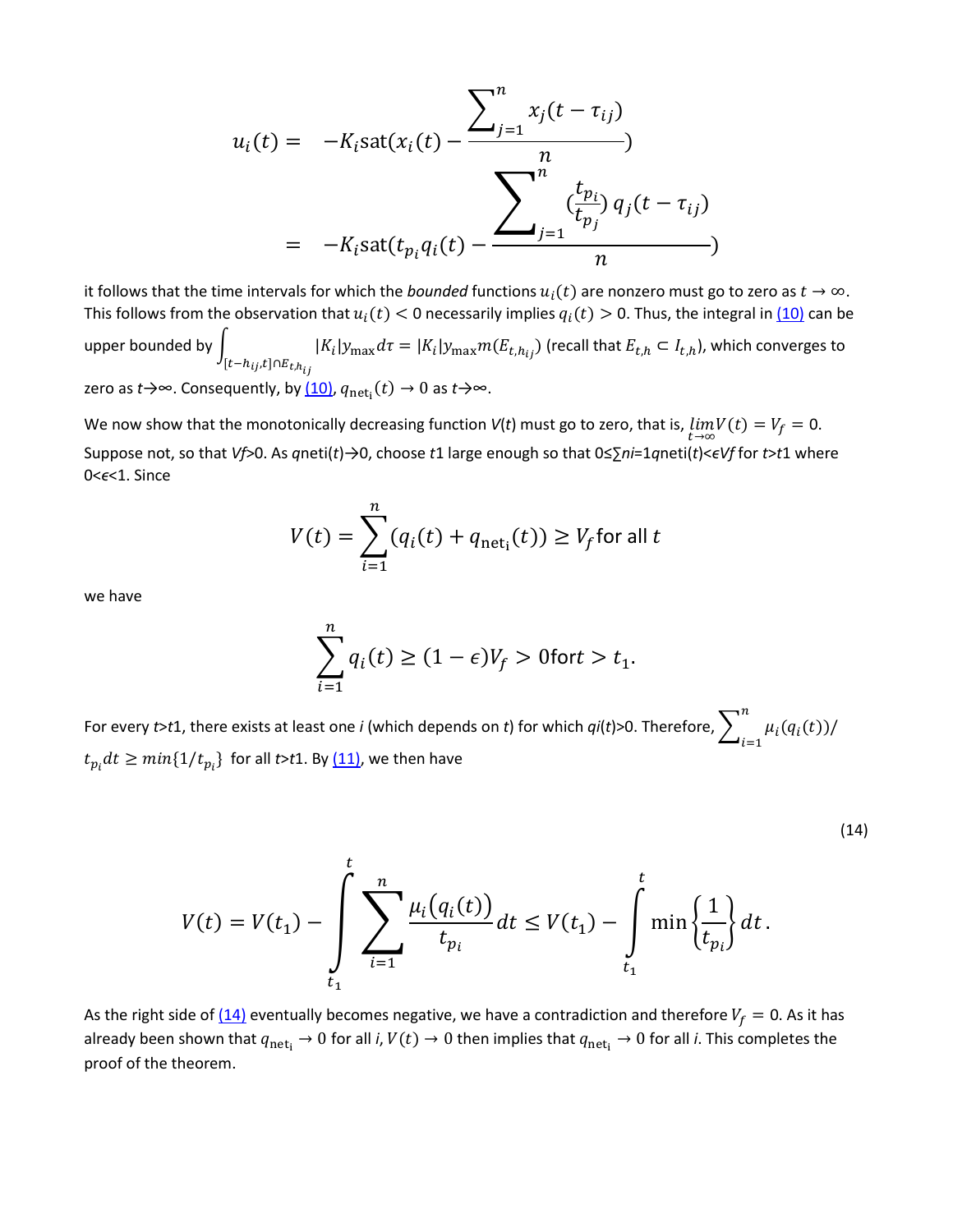$$
u_i(t) = -K_i \text{sat}(x_i(t) - \frac{\sum_{j=1}^n x_j(t - \tau_{ij})}{n})
$$
  
= -K\_i \text{sat}(t\_{p\_i}q\_i(t) - \frac{\sum\_{j=1}^n (\frac{t\_{p\_i}}{t\_{p\_j}}) q\_j(t - \tau\_{ij})}{n})

it follows that the time intervals for which the *bounded* functions  $u_i(t)$  are nonzero must go to zero as  $t \to \infty$ . This follows from the observation that  $u_i(t) < 0$  necessarily implies  $q_i(t) > 0$ . Thus, the integral in [\(10\)](https://ieeexplore.ieee.org/document/#deqn10) can be upper bounded by  $\int_{[0, \frac{1}{2}]} |K_i| y_{\text{max}} d\tau = |K_i| y_{\text{max}} m(E_{t, h_{ij}})$  $[t-n_{ij},t]$ ∩ $E_{t,h}$ <sub>i</sub> (recall that  $E_{t,h} \subset I_{t,h}$ ), which converges to  $\mathsf{zero}$  as  $t \to \infty$ . Consequently, by <u>(10)</u>,  $q_{\mathsf{net}_\mathbf{i}}(t) \to 0$  as  $t \to \infty$ .

We now show that the monotonically decreasing function  $V(t)$  must go to zero, that is,  $\lim_{t\to\infty}V(t)=V_f=0.$ Suppose not, so that *Vf*>0. As *q*neti(*t*)→0, choose *t*1 large enough so that 0≤∑*ni*=1*q*neti(*t*)<*ϵVf* for *t*>*t*1 where 0<*ϵ*<1. Since

$$
V(t) = \sum_{i=1}^{n} (q_i(t) + q_{\text{net}_i}(t)) \ge V_f \text{ for all } t
$$

we have

$$
\sum_{i=1}^{n} q_i(t) \ge (1 - \epsilon)V_f > 0 \text{for } t > t_1.
$$

For every *t*>*t*1, there exists at least one *i* (which depends on *t*) for which  $qi(t)$ >0. Therefore,  $\sum_{i=1}^n \mu_i(q_i(t))/$  $_{l=1}$  $t_{p_i}dt \geq min\{1/t_{p_i}\}$  for all *t*>t1. By <u>(11)</u>, we then have

$$
V(t) = V(t_1) - \int_{t_1}^t \sum_{i=1}^n \frac{\mu_i(q_i(t))}{t_{p_i}} dt \le V(t_1) - \int_{t_1}^t \min\left\{\frac{1}{t_{p_i}}\right\} dt.
$$

(14)

As the right side of  $(14)$  eventually becomes negative, we have a contradiction and therefore  $V_f = 0$ . As it has already been shown that  $q_{\rm net_i}\to 0$  for all *i*,  $V(t)\to 0$  then implies that  $q_{\rm net_i}\to 0$  for all *i*. This completes the proof of the theorem.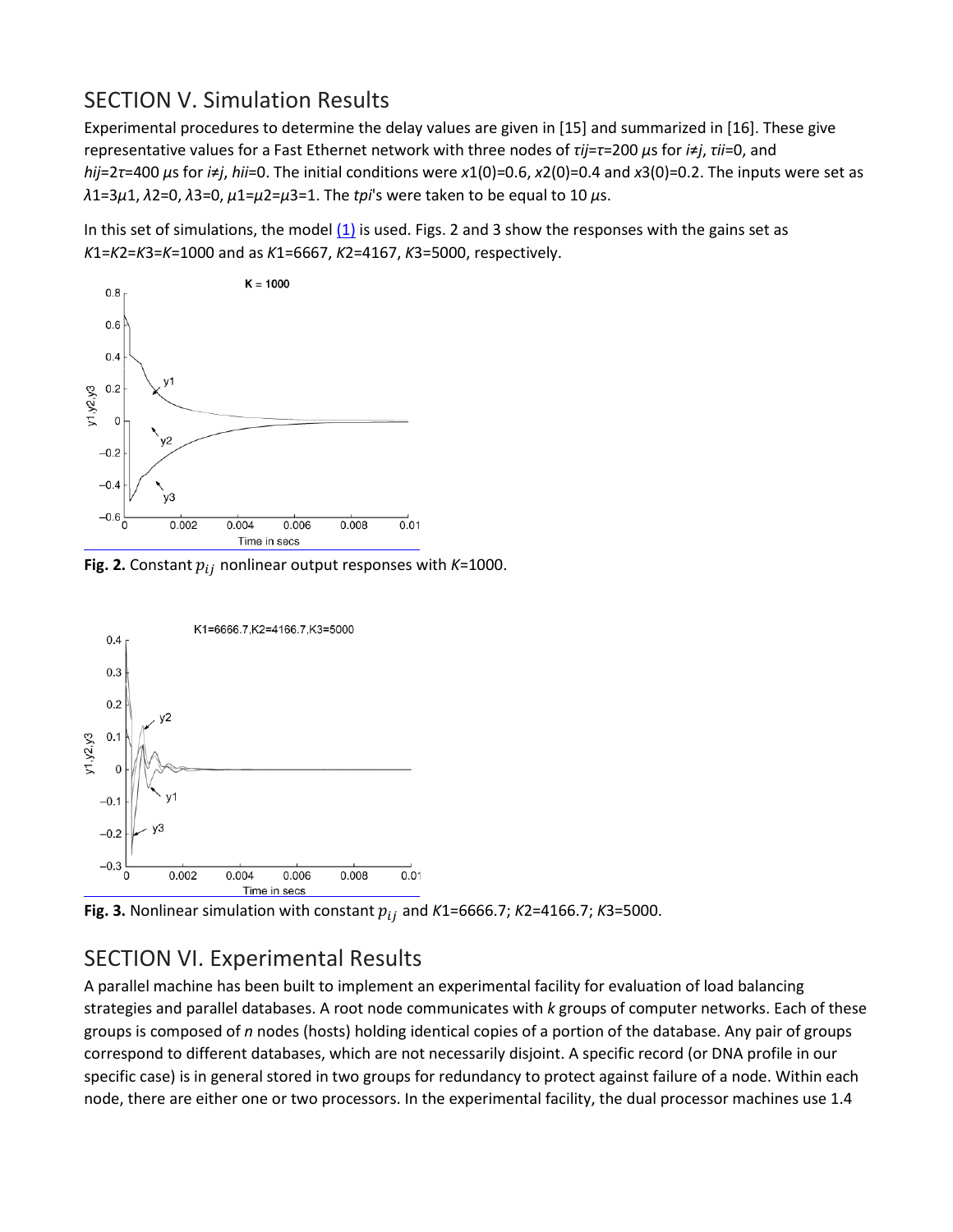# SECTION V. Simulation Results

Experimental procedures to determine the delay values are given in [15] and summarized in [16]. These give representative values for a Fast Ethernet network with three nodes of *τij*=*τ*=200 *μ*s for *i*≠*j*, *τii*=0, and *hij*=2*τ*=400 *μ*s for *i*≠*j*, *hii*=0. The initial conditions were *x*1(0)=0.6, *x*2(0)=0.4 and *x*3(0)=0.2. The inputs were set as *λ*1=3*μ*1, *λ*2=0, *λ*3=0, *μ*1=*μ*2=*μ*3=1. The *tpi*'s were taken to be equal to 10 *μ*s.

In this set of simulations, the model  $(1)$  is used. Figs. 2 and 3 show the responses with the gains set as *K*1=*K*2=*K*3=*K*=1000 and as *K*1=6667, *K*2=4167, *K*3=5000, respectively.



**Fig. 2.** Constant  $p_{ij}$  nonlinear output responses with  $K=1000$ .



**Fig. 3.** Nonlinear simulation with constant  $p_{ij}$  and  $K1=6666.7$ ;  $K2=4166.7$ ;  $K3=5000$ .

# SECTION VI. Experimental Results

A parallel machine has been built to implement an experimental facility for evaluation of load balancing strategies and parallel databases. A root node communicates with *k* groups of computer networks. Each of these groups is composed of *n* nodes (hosts) holding identical copies of a portion of the database. Any pair of groups correspond to different databases, which are not necessarily disjoint. A specific record (or DNA profile in our specific case) is in general stored in two groups for redundancy to protect against failure of a node. Within each node, there are either one or two processors. In the experimental facility, the dual processor machines use 1.4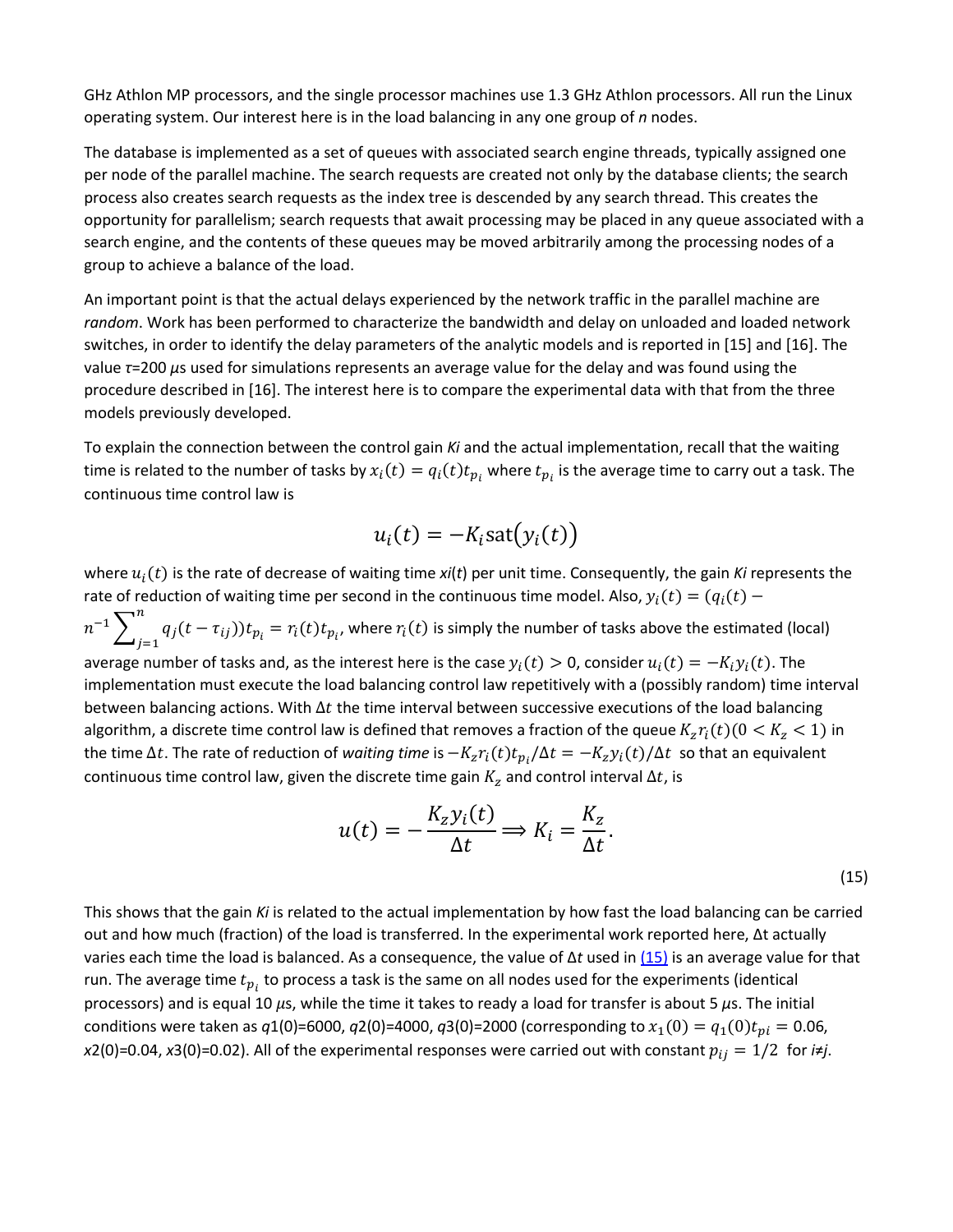GHz Athlon MP processors, and the single processor machines use 1.3 GHz Athlon processors. All run the Linux operating system. Our interest here is in the load balancing in any one group of *n* nodes.

The database is implemented as a set of queues with associated search engine threads, typically assigned one per node of the parallel machine. The search requests are created not only by the database clients; the search process also creates search requests as the index tree is descended by any search thread. This creates the opportunity for parallelism; search requests that await processing may be placed in any queue associated with a search engine, and the contents of these queues may be moved arbitrarily among the processing nodes of a group to achieve a balance of the load.

An important point is that the actual delays experienced by the network traffic in the parallel machine are *random*. Work has been performed to characterize the bandwidth and delay on unloaded and loaded network switches, in order to identify the delay parameters of the analytic models and is reported in [15] and [16]. The value *τ*=200 *μ*s used for simulations represents an average value for the delay and was found using the procedure described in [16]. The interest here is to compare the experimental data with that from the three models previously developed.

To explain the connection between the control gain *Ki* and the actual implementation, recall that the waiting time is related to the number of tasks by  $x_i(t) = q_i(t) t_{p_i}$  where  $t_{p_i}$  is the average time to carry out a task. The continuous time control law is

$$
u_i(t) = -K_i \text{sat}(y_i(t))
$$

where  $u_i(t)$  is the rate of decrease of waiting time  $x_i(t)$  per unit time. Consequently, the gain *Ki* represents the rate of reduction of waiting time per second in the continuous time model. Also,  $y_i(t) = (q_i(t) -$ 

 $n^{-1}\sum_{i=1}^n q_j(t-\tau_{ij}))t_{p_i}$  $q_j(t-\tau_{ij}))t_{p_i} = r_i(t)t_{p_i}$ , where  $r_i(t)$  is simply the number of tasks above the estimated (local) average number of tasks and, as the interest here is the case  $y_i(t) > 0$ , consider  $u_i(t) = -K_i y_i(t)$ . The implementation must execute the load balancing control law repetitively with a (possibly random) time interval between balancing actions. With  $\Delta t$  the time interval between successive executions of the load balancing algorithm, a discrete time control law is defined that removes a fraction of the queue  $K_z r_i(t)$  ( $0 < K_z < 1$ ) in the time  $\Delta t$ . The rate of reduction of *waiting time* is  $-K_z r_i(t) t_{p_i}/\Delta t = -K_z y_i(t)/\Delta t$  so that an equivalent continuous time control law, given the discrete time gain  $K_z$  and control interval  $\Delta t$ , is

$$
u(t) = -\frac{K_z y_i(t)}{\Delta t} \Longrightarrow K_i = \frac{K_z}{\Delta t}.
$$
\n(15)

This shows that the gain *Ki* is related to the actual implementation by how fast the load balancing can be carried out and how much (fraction) of the load is transferred. In the experimental work reported here, Δt actually varies each time the load is balanced. As a consequence, the value of Δ*t* used i[n \(15\)](https://ieeexplore.ieee.org/document/#deqn15) is an average value for that run. The average time  $t_{p_i}$  to process a task is the same on all nodes used for the experiments (identical processors) and is equal 10 *μs*, while the time it takes to ready a load for transfer is about 5 *μs*. The initial conditions were taken as  $q1(0)$ =6000,  $q2(0)$ =4000,  $q3(0)$ =2000 (corresponding to  $x_1(0) = q_1(0)t_{ni} = 0.06$ , *x*2(0)=0.04, *x*3(0)=0.02). All of the experimental responses were carried out with constant  $p_{ij} = 1/2$  for *i*≠*j*.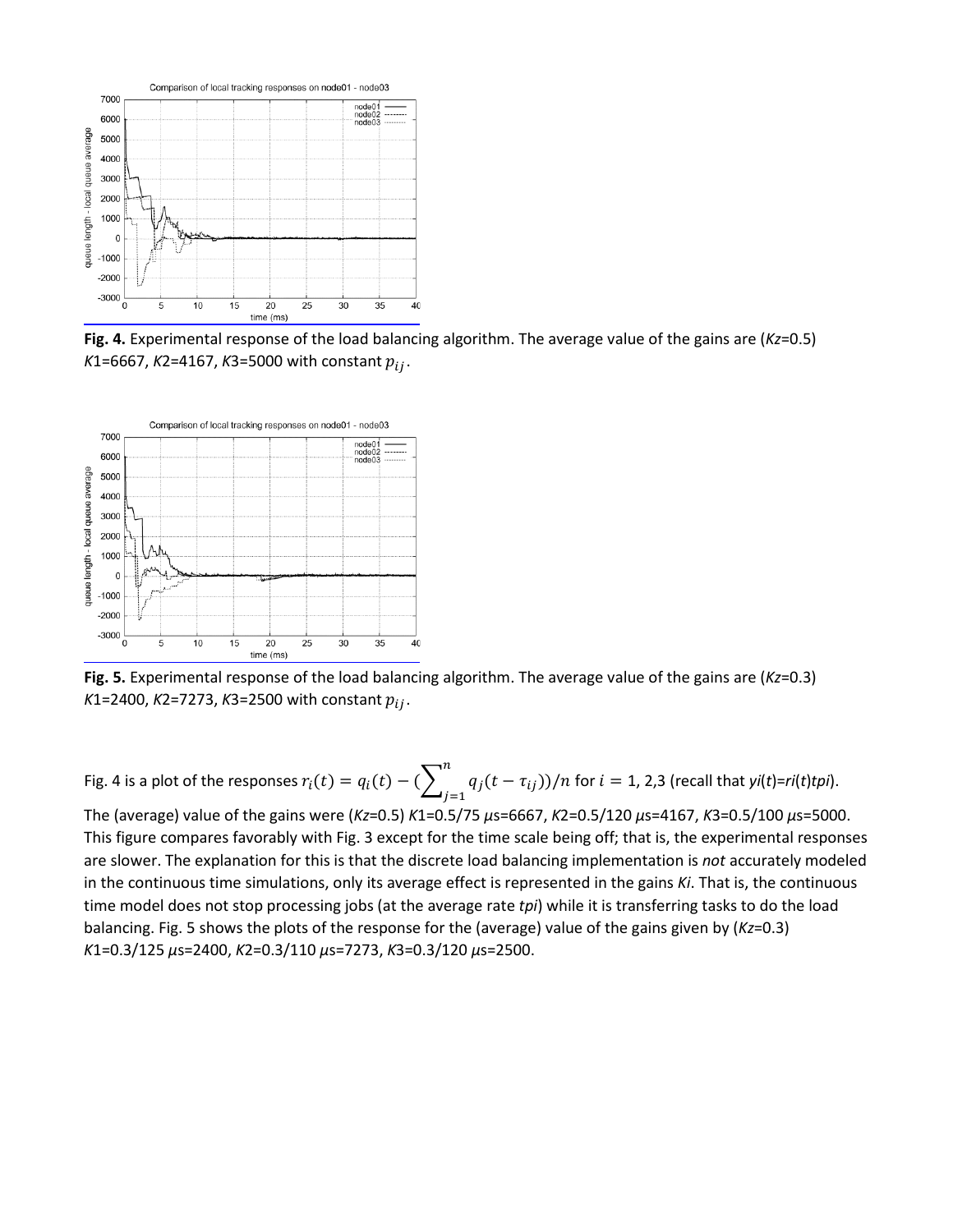

**Fig. 4.** Experimental response of the load balancing algorithm. The average value of the gains are (*Kz*=0.5) *K*1=6667, *K*2=4167, *K*3=5000 with constant  $p_{ij}$ .



**Fig. 5.** Experimental response of the load balancing algorithm. The average value of the gains are (*Kz*=0.3) *K*1=2400, *K*2=7273, *K*3=2500 with constant  $p_{ij}$ .

Fig. 4 is a plot of the responses  $r_i(t) = q_i(t) - (\sum_{i,j=1}^n q_j(t - \tau_{ij})) / n$  $f_{j=1}$   $q_j(t - \tau_{ij})$ )/*n* for  $i = 1, 2, 3$  (recall that *yi*(*t*)=*ri*(*t*)*tpi*).

The (average) value of the gains were (*Kz*=0.5) *K*1=0.5/75 *μ*s=6667, *K*2=0.5/120 *μ*s=4167, *K*3=0.5/100 *μ*s=5000. This figure compares favorably with Fig. 3 except for the time scale being off; that is, the experimental responses are slower. The explanation for this is that the discrete load balancing implementation is *not* accurately modeled in the continuous time simulations, only its average effect is represented in the gains *Ki*. That is, the continuous time model does not stop processing jobs (at the average rate *tpi*) while it is transferring tasks to do the load balancing. Fig. 5 shows the plots of the response for the (average) value of the gains given by (*Kz*=0.3) *K*1=0.3/125 *μ*s=2400, *K*2=0.3/110 *μ*s=7273, *K*3=0.3/120 *μ*s=2500.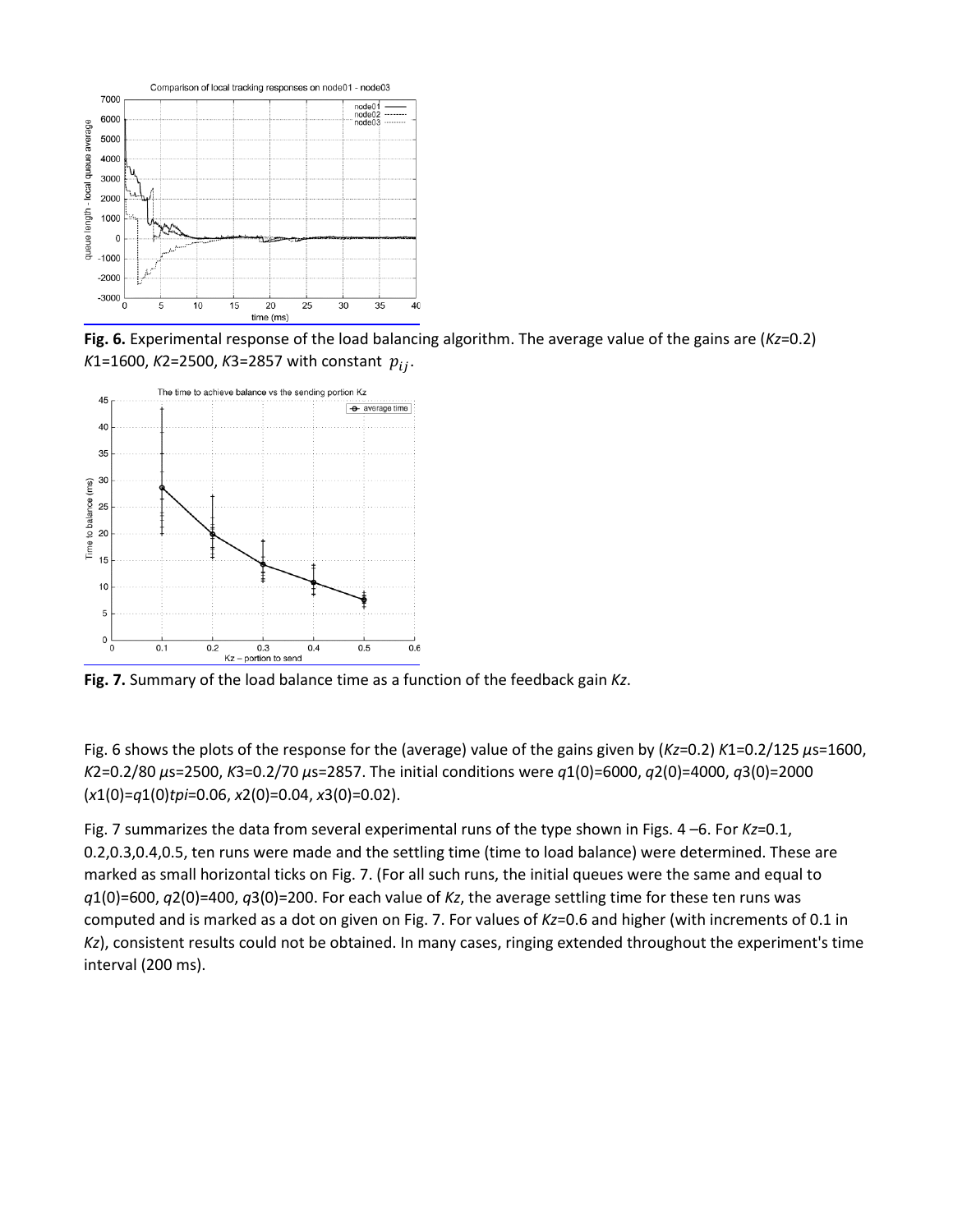

**Fig. 6.** Experimental response of the load balancing algorithm. The average value of the gains are (*Kz*=0.2) *K*1=1600, *K*2=2500, *K*3=2857 with constant  $p_{ij}$ .



**Fig. 7.** Summary of the load balance time as a function of the feedback gain *Kz*.

Fig. 6 shows the plots of the response for the (average) value of the gains given by (*Kz*=0.2) *K*1=0.2/125 *μ*s=1600, *K*2=0.2/80 *μ*s=2500, *K*3=0.2/70 *μ*s=2857. The initial conditions were *q*1(0)=6000, *q*2(0)=4000, *q*3(0)=2000 (*x*1(0)=*q*1(0)*tpi*=0.06, *x*2(0)=0.04, *x*3(0)=0.02).

Fig. 7 summarizes the data from several experimental runs of the type shown in Figs. 4 –6. For *Kz*=0.1, 0.2,0.3,0.4,0.5, ten runs were made and the settling time (time to load balance) were determined. These are marked as small horizontal ticks on Fig. 7. (For all such runs, the initial queues were the same and equal to *q*1(0)=600, *q*2(0)=400, *q*3(0)=200. For each value of *Kz*, the average settling time for these ten runs was computed and is marked as a dot on given on Fig. 7. For values of *Kz*=0.6 and higher (with increments of 0.1 in *Kz*), consistent results could not be obtained. In many cases, ringing extended throughout the experiment's time interval (200 ms).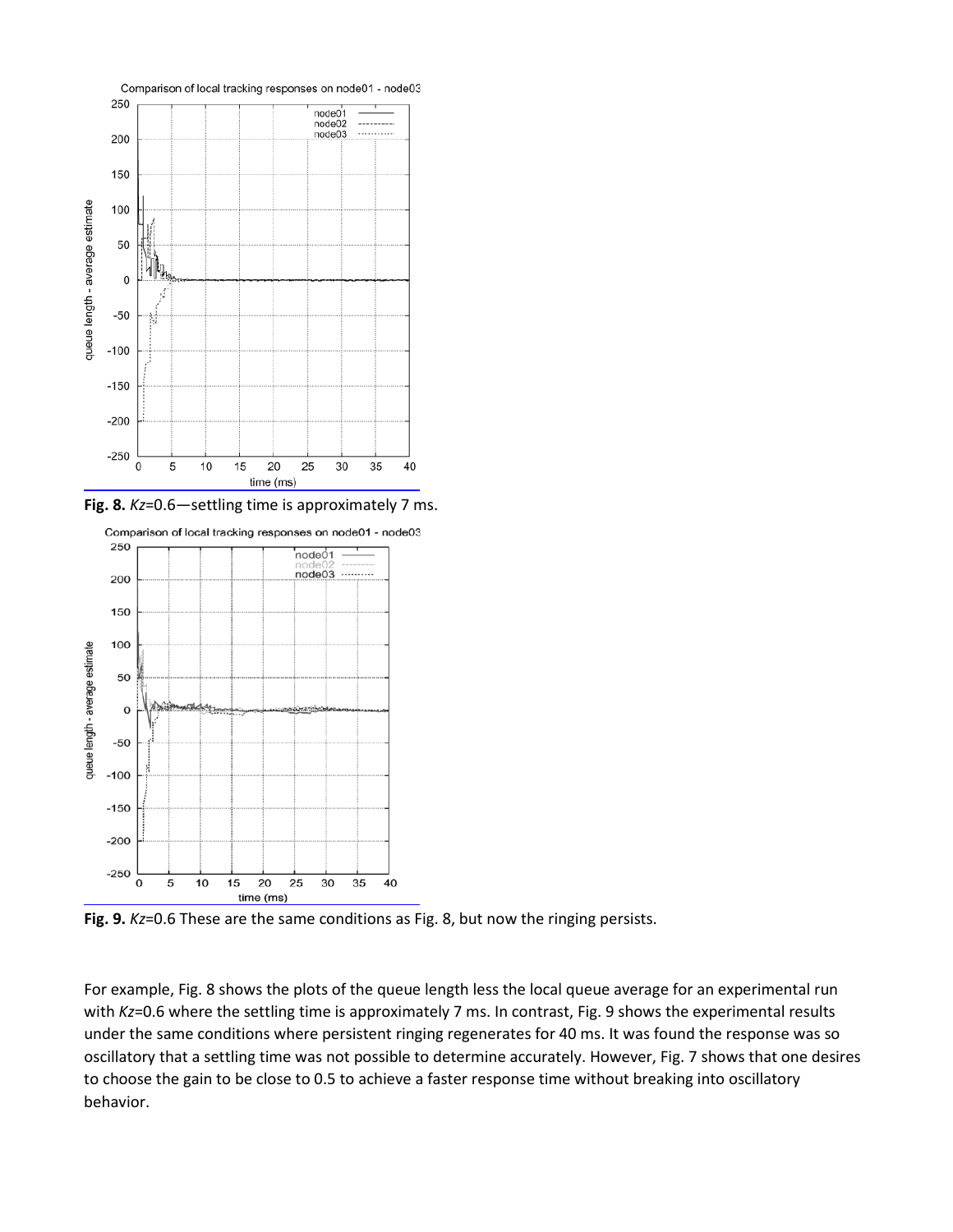

**Fig. 8.** *Kz*=0.6—settling time is approximately 7 ms.



**Fig. 9.** *Kz*=0.6 These are the same conditions as Fig. 8, but now the ringing persists.

For example, Fig. 8 shows the plots of the queue length less the local queue average for an experimental run with *Kz*=0.6 where the settling time is approximately 7 ms. In contrast, Fig. 9 shows the experimental results under the same conditions where persistent ringing regenerates for 40 ms. It was found the response was so oscillatory that a settling time was not possible to determine accurately. However, Fig. 7 shows that one desires to choose the gain to be close to 0.5 to achieve a faster response time without breaking into oscillatory behavior.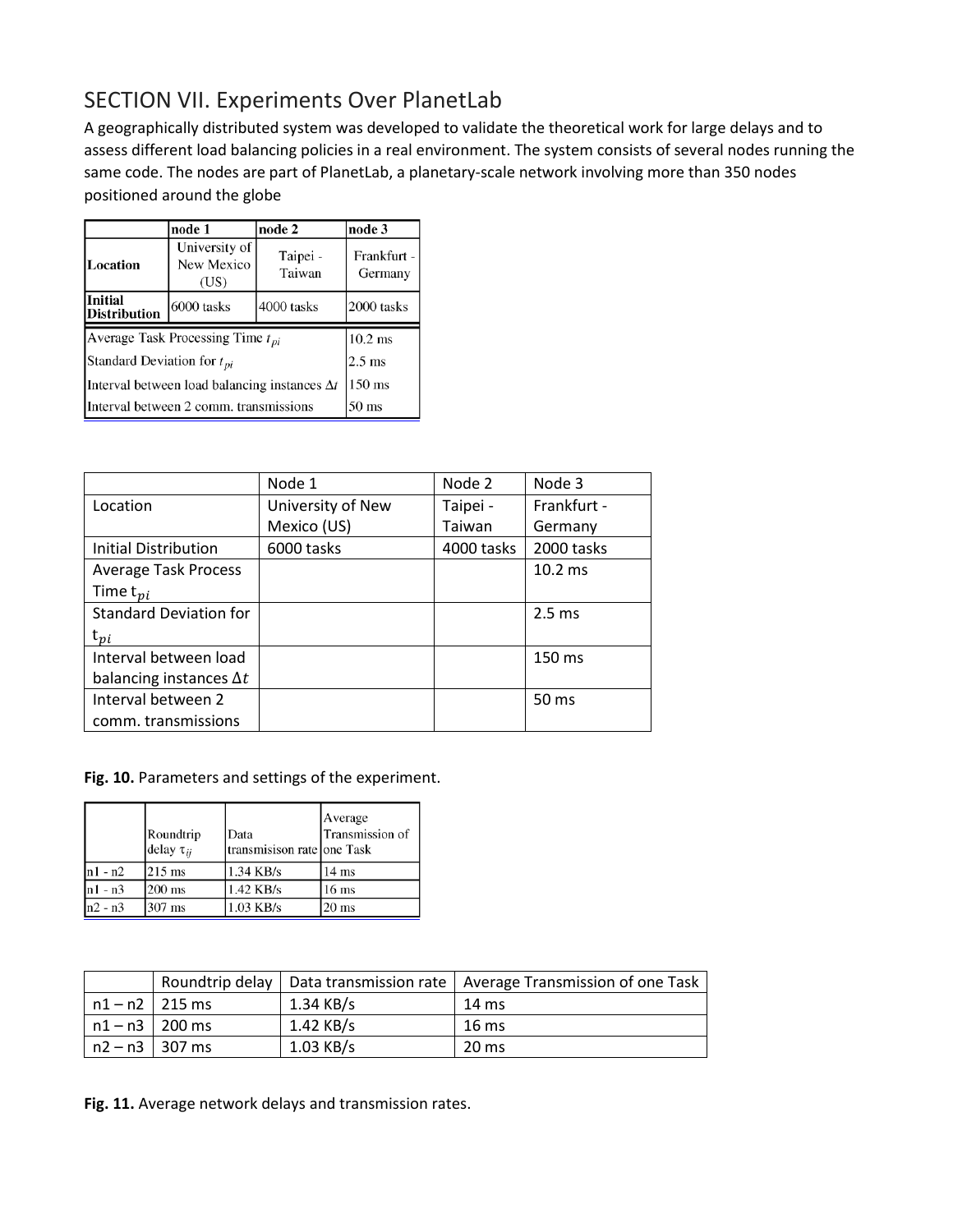# SECTION VII. Experiments Over PlanetLab

A geographically distributed system was developed to validate the theoretical work for large delays and to assess different load balancing policies in a real environment. The system consists of several nodes running the same code. The nodes are part of PlanetLab, a planetary-scale network involving more than 350 nodes positioned around the globe

|                                                      | node 1                              | node 2             | node 3                 |
|------------------------------------------------------|-------------------------------------|--------------------|------------------------|
| Location                                             | University of<br>New Mexico<br>(US) | Taipei -<br>Taiwan | Frankfurt -<br>Germany |
| Initial<br><b>Distribution</b>                       | 6000 tasks                          | 4000 tasks         | 2000 tasks             |
| Average Task Processing Time $t_{pi}$                |                                     |                    | $10.2$ ms              |
| Standard Deviation for $t_{pi}$                      | $2.5$ ms                            |                    |                        |
| Interval between load balancing instances $\Delta t$ | $150$ ms                            |                    |                        |
| Interval between 2 comm. transmissions               |                                     |                    | $50 \text{ ms}$        |

|                                | Node 1            | Node 2     | Node 3      |
|--------------------------------|-------------------|------------|-------------|
| Location                       | University of New | Taipei -   | Frankfurt - |
|                                | Mexico (US)       | Taiwan     | Germany     |
| <b>Initial Distribution</b>    | 6000 tasks        | 4000 tasks | 2000 tasks  |
| <b>Average Task Process</b>    |                   |            | $10.2$ ms   |
| Time $t_{ni}$                  |                   |            |             |
| <b>Standard Deviation for</b>  |                   |            | $2.5$ ms    |
| $t_{pi}$                       |                   |            |             |
| Interval between load          |                   |            | 150 ms      |
| balancing instances $\Delta t$ |                   |            |             |
| Interval between 2             |                   |            | 50 ms       |
| comm. transmissions            |                   |            |             |

#### **Fig. 10.** Parameters and settings of the experiment.

|           | Roundtrip<br>delay $\tau_{ii}$ | Data<br>Itransmisison rate one Task | Average<br>Transmission of |
|-----------|--------------------------------|-------------------------------------|----------------------------|
| $n1 - n2$ | $1215 \text{ ms}$              | 1.34 KB/s                           | $14 \text{ ms}$            |
| $n1 - n3$ | 1200 ms                        | 1.42 KB/s                           | 16 <sub>ms</sub>           |
| $n2 - n3$ | 307 ms                         | 1.03 KB/s                           | 20 ms                      |

|                    |             | Roundtrip delay   Data transmission rate   Average Transmission of one Task |
|--------------------|-------------|-----------------------------------------------------------------------------|
| $n1 - n2$ 215 ms   | $1.34$ KB/s | 14 ms                                                                       |
| $n1 - n3$   200 ms | $1.42$ KB/s | 16 ms                                                                       |
| $n2 - n3$ 307 ms   | $1.03$ KB/s | 20 ms                                                                       |

**Fig. 11.** Average network delays and transmission rates.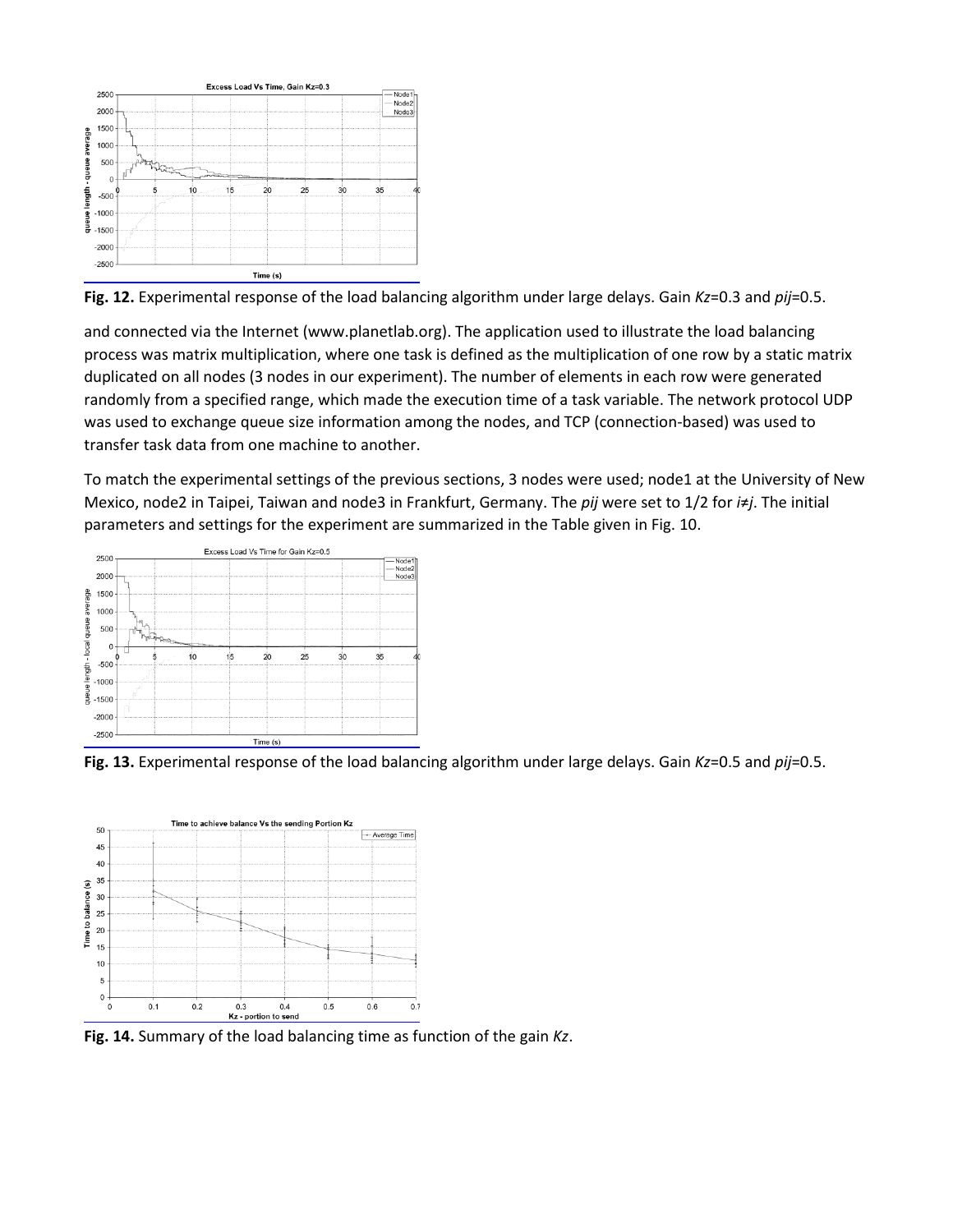

**Fig. 12.** Experimental response of the load balancing algorithm under large delays. Gain *Kz*=0.3 and *pij*=0.5.

and connected via the Internet (www.planetlab.org). The application used to illustrate the load balancing process was matrix multiplication, where one task is defined as the multiplication of one row by a static matrix duplicated on all nodes (3 nodes in our experiment). The number of elements in each row were generated randomly from a specified range, which made the execution time of a task variable. The network protocol UDP was used to exchange queue size information among the nodes, and TCP (connection-based) was used to transfer task data from one machine to another.

To match the experimental settings of the previous sections, 3 nodes were used; node1 at the University of New Mexico, node2 in Taipei, Taiwan and node3 in Frankfurt, Germany. The *pij* were set to 1/2 for *i*≠*j*. The initial parameters and settings for the experiment are summarized in the Table given in Fig. 10.



**Fig. 13.** Experimental response of the load balancing algorithm under large delays. Gain *Kz*=0.5 and *pij*=0.5.



**Fig. 14.** Summary of the load balancing time as function of the gain *Kz*.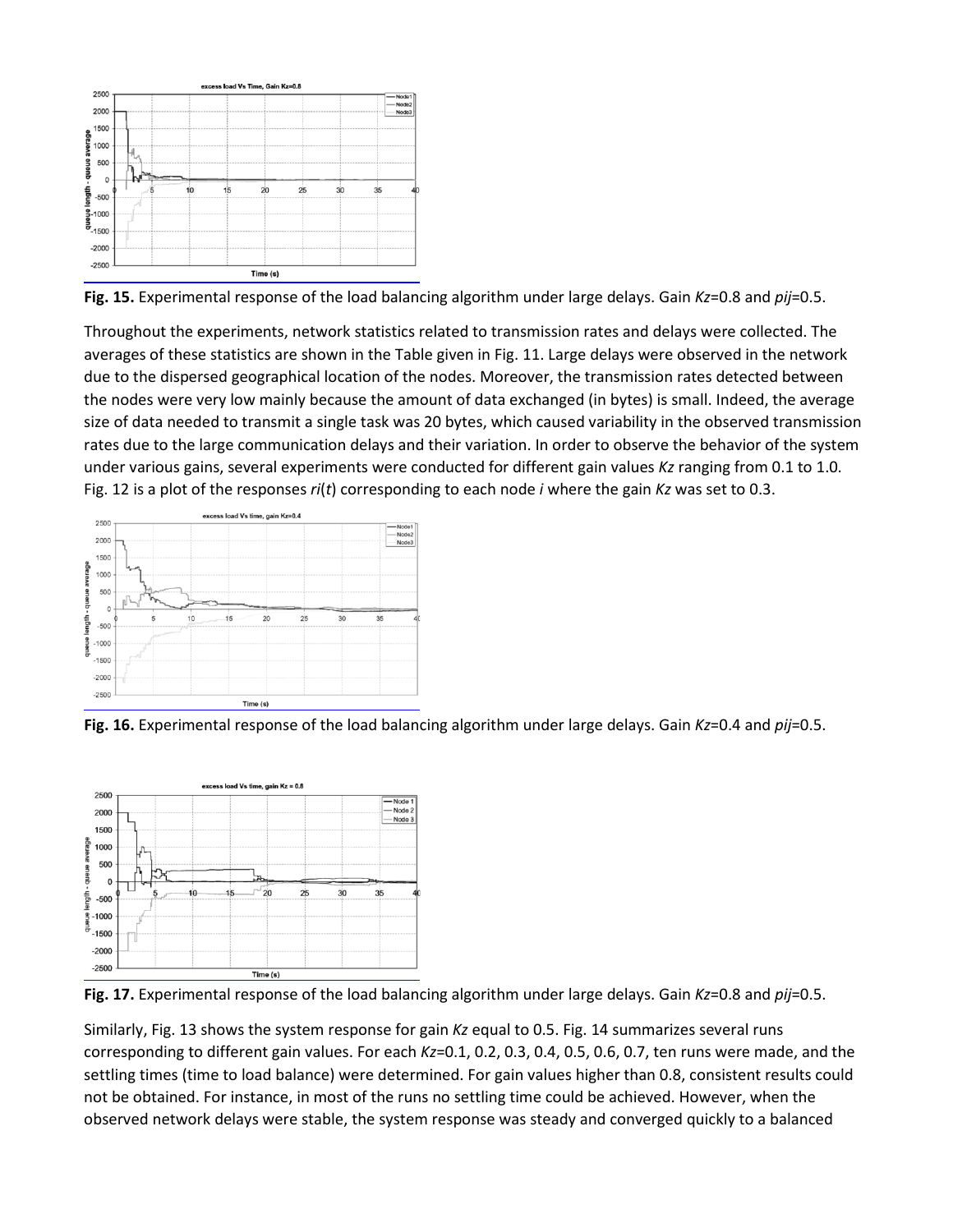

**Fig. 15.** Experimental response of the load balancing algorithm under large delays. Gain *Kz*=0.8 and *pij*=0.5.

Throughout the experiments, network statistics related to transmission rates and delays were collected. The averages of these statistics are shown in the Table given in Fig. 11. Large delays were observed in the network due to the dispersed geographical location of the nodes. Moreover, the transmission rates detected between the nodes were very low mainly because the amount of data exchanged (in bytes) is small. Indeed, the average size of data needed to transmit a single task was 20 bytes, which caused variability in the observed transmission rates due to the large communication delays and their variation. In order to observe the behavior of the system under various gains, several experiments were conducted for different gain values *Kz* ranging from 0.1 to 1.0. Fig. 12 is a plot of the responses *ri*(*t*) corresponding to each node *i* where the gain *Kz* was set to 0.3.



**Fig. 16.** Experimental response of the load balancing algorithm under large delays. Gain *Kz*=0.4 and *pij*=0.5.





Similarly, Fig. 13 shows the system response for gain *Kz* equal to 0.5. Fig. 14 summarizes several runs corresponding to different gain values. For each *Kz*=0.1, 0.2, 0.3, 0.4, 0.5, 0.6, 0.7, ten runs were made, and the settling times (time to load balance) were determined. For gain values higher than 0.8, consistent results could not be obtained. For instance, in most of the runs no settling time could be achieved. However, when the observed network delays were stable, the system response was steady and converged quickly to a balanced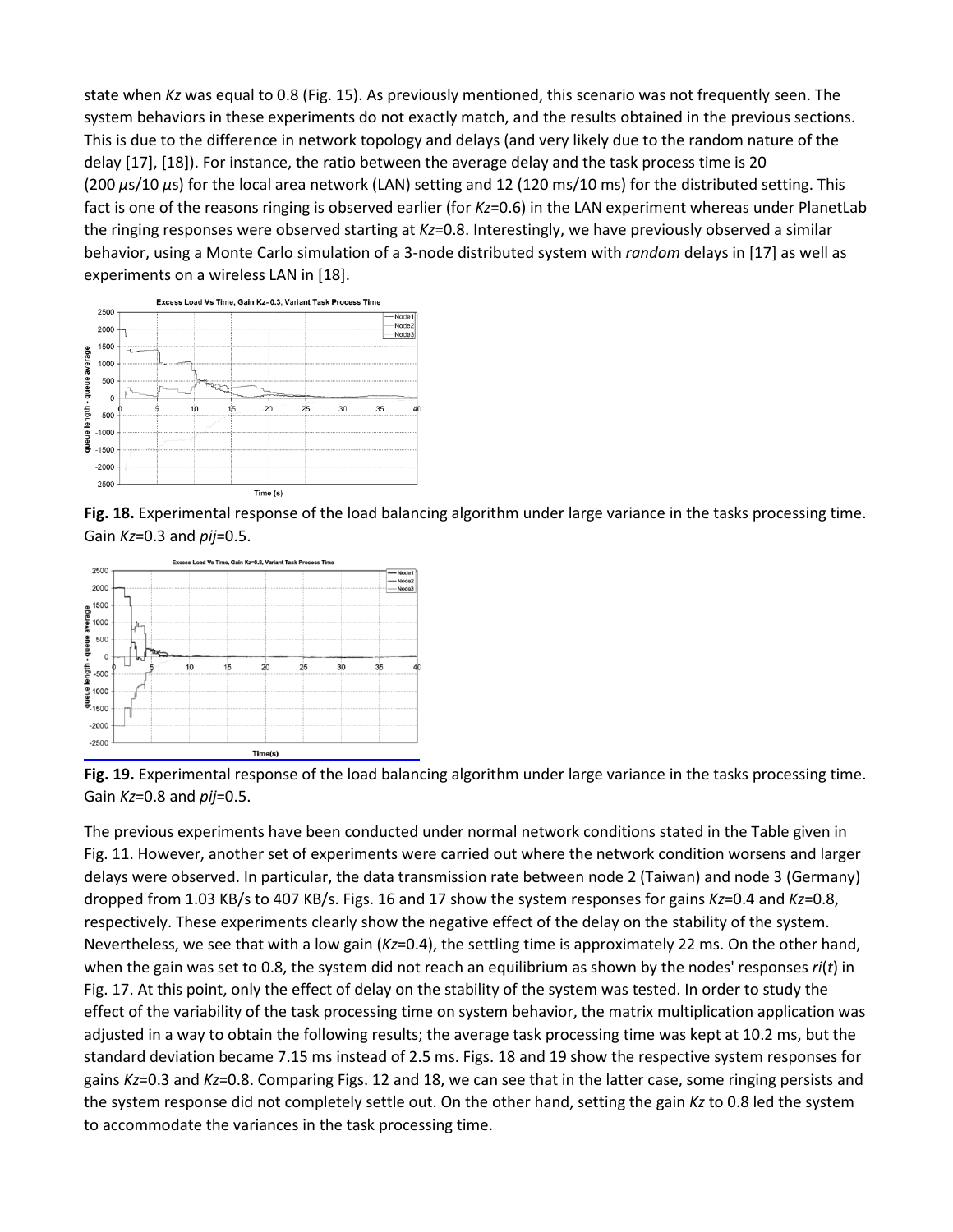state when *Kz* was equal to 0.8 (Fig. 15). As previously mentioned, this scenario was not frequently seen. The system behaviors in these experiments do not exactly match, and the results obtained in the previous sections. This is due to the difference in network topology and delays (and very likely due to the random nature of the delay [17], [18]). For instance, the ratio between the average delay and the task process time is 20 (200 *μ*s/10 *μ*s) for the local area network (LAN) setting and 12 (120 ms/10 ms) for the distributed setting. This fact is one of the reasons ringing is observed earlier (for *Kz*=0.6) in the LAN experiment whereas under PlanetLab the ringing responses were observed starting at *Kz*=0.8. Interestingly, we have previously observed a similar behavior, using a Monte Carlo simulation of a 3-node distributed system with *random* delays in [17] as well as experiments on a wireless LAN in [18].



**Fig. 18.** Experimental response of the load balancing algorithm under large variance in the tasks processing time. Gain *Kz*=0.3 and *pij*=0.5.





The previous experiments have been conducted under normal network conditions stated in the Table given in Fig. 11. However, another set of experiments were carried out where the network condition worsens and larger delays were observed. In particular, the data transmission rate between node 2 (Taiwan) and node 3 (Germany) dropped from 1.03 KB/s to 407 KB/s. Figs. 16 and 17 show the system responses for gains *Kz*=0.4 and *Kz*=0.8, respectively. These experiments clearly show the negative effect of the delay on the stability of the system. Nevertheless, we see that with a low gain (*Kz*=0.4), the settling time is approximately 22 ms. On the other hand, when the gain was set to 0.8, the system did not reach an equilibrium as shown by the nodes' responses *ri*(*t*) in Fig. 17. At this point, only the effect of delay on the stability of the system was tested. In order to study the effect of the variability of the task processing time on system behavior, the matrix multiplication application was adjusted in a way to obtain the following results; the average task processing time was kept at 10.2 ms, but the standard deviation became 7.15 ms instead of 2.5 ms. Figs. 18 and 19 show the respective system responses for gains *Kz*=0.3 and *Kz*=0.8. Comparing Figs. 12 and 18, we can see that in the latter case, some ringing persists and the system response did not completely settle out. On the other hand, setting the gain *Kz* to 0.8 led the system to accommodate the variances in the task processing time.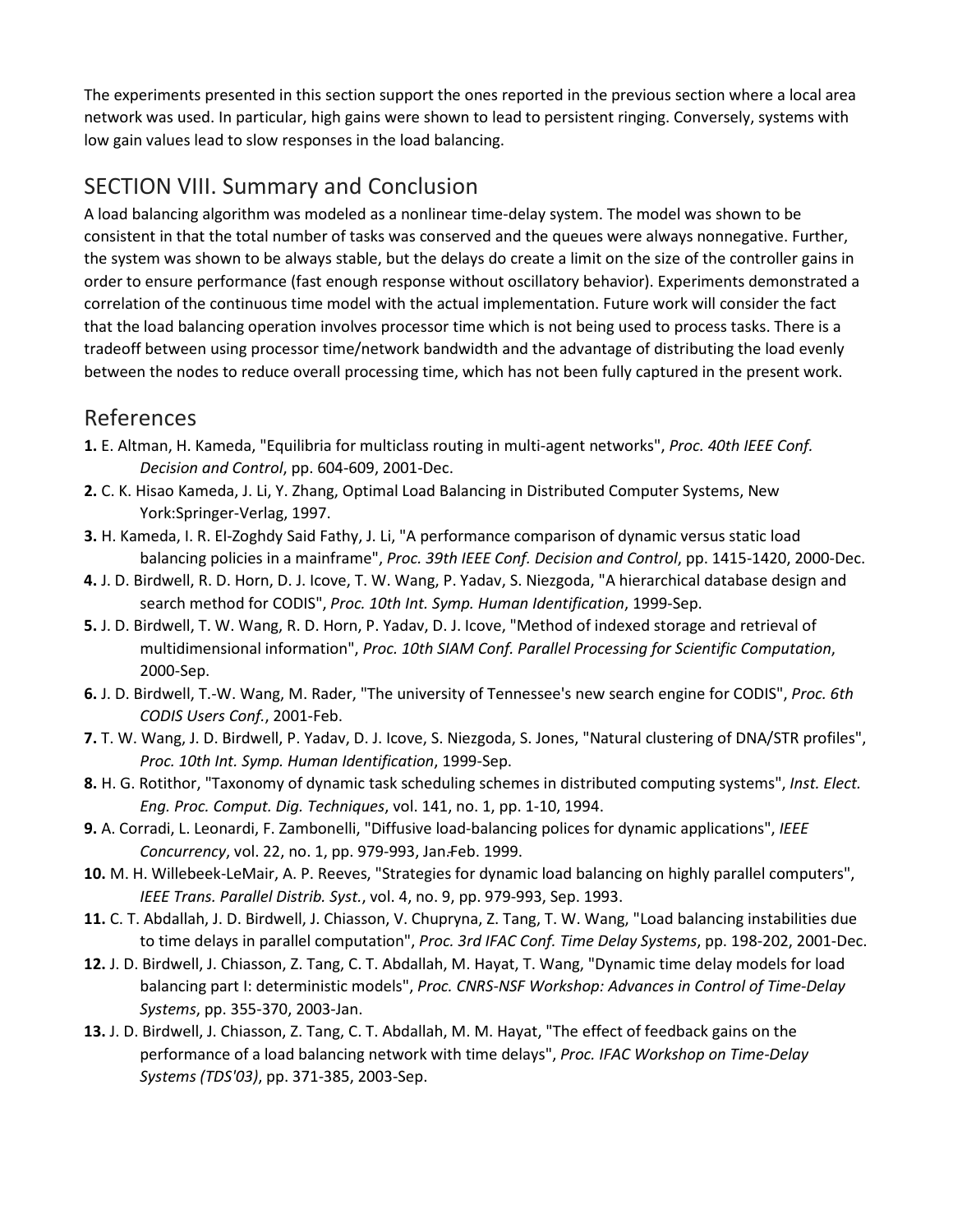The experiments presented in this section support the ones reported in the previous section where a local area network was used. In particular, high gains were shown to lead to persistent ringing. Conversely, systems with low gain values lead to slow responses in the load balancing.

# SECTION VIII. Summary and Conclusion

A load balancing algorithm was modeled as a nonlinear time-delay system. The model was shown to be consistent in that the total number of tasks was conserved and the queues were always nonnegative. Further, the system was shown to be always stable, but the delays do create a limit on the size of the controller gains in order to ensure performance (fast enough response without oscillatory behavior). Experiments demonstrated a correlation of the continuous time model with the actual implementation. Future work will consider the fact that the load balancing operation involves processor time which is not being used to process tasks. There is a tradeoff between using processor time/network bandwidth and the advantage of distributing the load evenly between the nodes to reduce overall processing time, which has not been fully captured in the present work.

# References

- **1.** E. Altman, H. Kameda, "Equilibria for multiclass routing in multi-agent networks", *Proc. 40th IEEE Conf. Decision and Control*, pp. 604-609, 2001-Dec.
- **2.** C. K. Hisao Kameda, J. Li, Y. Zhang, Optimal Load Balancing in Distributed Computer Systems, New York:Springer-Verlag, 1997.
- **3.** H. Kameda, I. R. El-Zoghdy Said Fathy, J. Li, "A performance comparison of dynamic versus static load balancing policies in a mainframe", *Proc. 39th IEEE Conf. Decision and Control*, pp. 1415-1420, 2000-Dec.
- **4.** J. D. Birdwell, R. D. Horn, D. J. Icove, T. W. Wang, P. Yadav, S. Niezgoda, "A hierarchical database design and search method for CODIS", *Proc. 10th Int. Symp. Human Identification*, 1999-Sep.
- **5.** J. D. Birdwell, T. W. Wang, R. D. Horn, P. Yadav, D. J. Icove, "Method of indexed storage and retrieval of multidimensional information", *Proc. 10th SIAM Conf. Parallel Processing for Scientific Computation*, 2000-Sep.
- **6.** J. D. Birdwell, T.-W. Wang, M. Rader, "The university of Tennessee's new search engine for CODIS", *Proc. 6th CODIS Users Conf.*, 2001-Feb.
- **7.** T. W. Wang, J. D. Birdwell, P. Yadav, D. J. Icove, S. Niezgoda, S. Jones, "Natural clustering of DNA/STR profiles", *Proc. 10th Int. Symp. Human Identification*, 1999-Sep.
- **8.** H. G. Rotithor, "Taxonomy of dynamic task scheduling schemes in distributed computing systems", *Inst. Elect. Eng. Proc. Comput. Dig. Techniques*, vol. 141, no. 1, pp. 1-10, 1994.
- **9.** A. Corradi, L. Leonardi, F. Zambonelli, "Diffusive load-balancing polices for dynamic applications", *IEEE Concurrency*, vol. 22, no. 1, pp. 979-993, Jan.̵Feb. 1999.
- **10.** M. H. Willebeek-LeMair, A. P. Reeves, "Strategies for dynamic load balancing on highly parallel computers", *IEEE Trans. Parallel Distrib. Syst.*, vol. 4, no. 9, pp. 979-993, Sep. 1993.
- **11.** C. T. Abdallah, J. D. Birdwell, J. Chiasson, V. Chupryna, Z. Tang, T. W. Wang, "Load balancing instabilities due to time delays in parallel computation", *Proc. 3rd IFAC Conf. Time Delay Systems*, pp. 198-202, 2001-Dec.
- **12.** J. D. Birdwell, J. Chiasson, Z. Tang, C. T. Abdallah, M. Hayat, T. Wang, "Dynamic time delay models for load balancing part I: deterministic models", *Proc. CNRS-NSF Workshop: Advances in Control of Time-Delay Systems*, pp. 355-370, 2003-Jan.
- **13.** J. D. Birdwell, J. Chiasson, Z. Tang, C. T. Abdallah, M. M. Hayat, "The effect of feedback gains on the performance of a load balancing network with time delays", *Proc. IFAC Workshop on Time-Delay Systems (TDS'03)*, pp. 371-385, 2003-Sep.